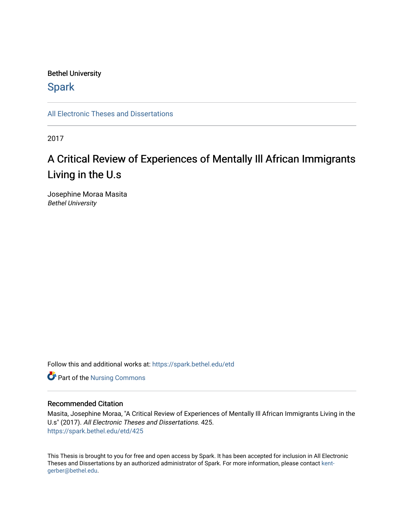### Bethel University

## **Spark**

[All Electronic Theses and Dissertations](https://spark.bethel.edu/etd) 

2017

# A Critical Review of Experiences of Mentally Ill African Immigrants Living in the U.s

Josephine Moraa Masita Bethel University

Follow this and additional works at: [https://spark.bethel.edu/etd](https://spark.bethel.edu/etd?utm_source=spark.bethel.edu%2Fetd%2F425&utm_medium=PDF&utm_campaign=PDFCoverPages)

**Part of the Nursing Commons** 

#### Recommended Citation

Masita, Josephine Moraa, "A Critical Review of Experiences of Mentally Ill African Immigrants Living in the U.s" (2017). All Electronic Theses and Dissertations. 425. [https://spark.bethel.edu/etd/425](https://spark.bethel.edu/etd/425?utm_source=spark.bethel.edu%2Fetd%2F425&utm_medium=PDF&utm_campaign=PDFCoverPages)

This Thesis is brought to you for free and open access by Spark. It has been accepted for inclusion in All Electronic Theses and Dissertations by an authorized administrator of Spark. For more information, please contact [kent](mailto:kent-gerber@bethel.edu)[gerber@bethel.edu.](mailto:kent-gerber@bethel.edu)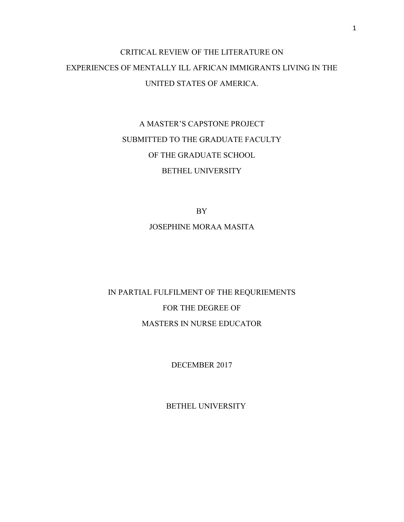# CRITICAL REVIEW OF THE LITERATURE ON EXPERIENCES OF MENTALLY ILL AFRICAN IMMIGRANTS LIVING IN THE UNITED STATES OF AMERICA.

# A MASTER'S CAPSTONE PROJECT SUBMITTED TO THE GRADUATE FACULTY OF THE GRADUATE SCHOOL BETHEL UNIVERSITY

BY

### JOSEPHINE MORAA MASITA

# IN PARTIAL FULFILMENT OF THE REQURIEMENTS FOR THE DEGREE OF MASTERS IN NURSE EDUCATOR

DECEMBER 2017

BETHEL UNIVERSITY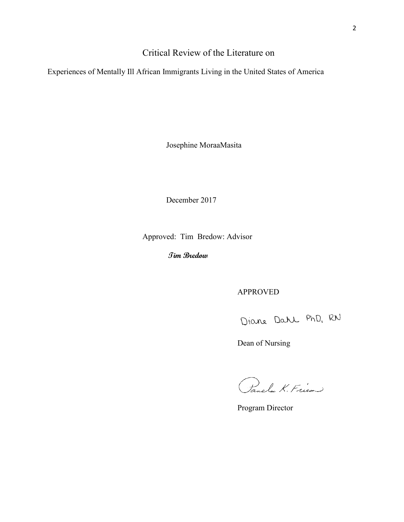## Critical Review of the Literature on

Experiences of Mentally Ill African Immigrants Living in the United States of America

Josephine MoraaMasita

December 2017

Approved: Tim Bredow: Advisor

**Tim Bredow**

APPROVED

Diane Dahl PhD, RN

Dean of Nursing

Panela K. Fries

Program Director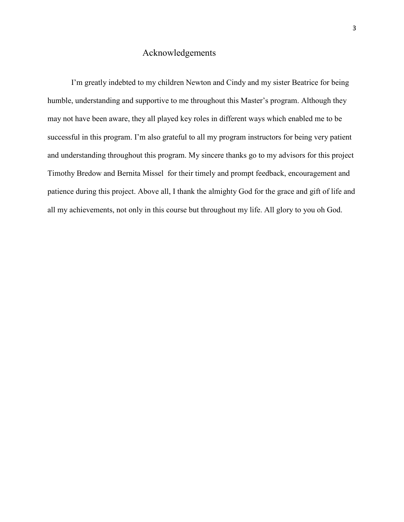## Acknowledgements

I'm greatly indebted to my children Newton and Cindy and my sister Beatrice for being humble, understanding and supportive to me throughout this Master's program. Although they may not have been aware, they all played key roles in different ways which enabled me to be successful in this program. I'm also grateful to all my program instructors for being very patient and understanding throughout this program. My sincere thanks go to my advisors for this project Timothy Bredow and Bernita Missel for their timely and prompt feedback, encouragement and patience during this project. Above all, I thank the almighty God for the grace and gift of life and all my achievements, not only in this course but throughout my life. All glory to you oh God.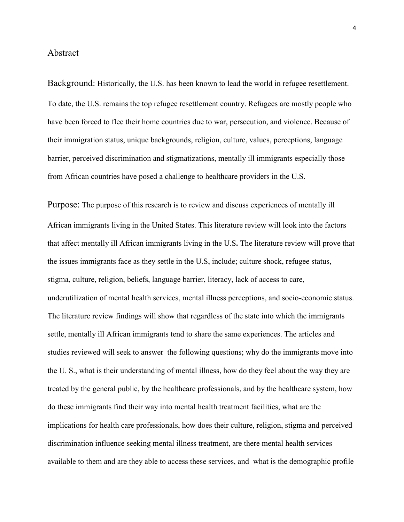### Abstract

Background: Historically, the U.S. has been known to lead the world in refugee resettlement. To date, the U.S. remains the top refugee resettlement country. Refugees are mostly people who have been forced to flee their home countries due to war, persecution, and violence. Because of their immigration status, unique backgrounds, religion, culture, values, perceptions, language barrier, perceived discrimination and stigmatizations, mentally ill immigrants especially those from African countries have posed a challenge to healthcare providers in the U.S.

Purpose: The purpose of this research is to review and discuss experiences of mentally ill African immigrants living in the United States. This literature review will look into the factors that affect mentally ill African immigrants living in the U.S**.** The literature review will prove that the issues immigrants face as they settle in the U.S, include; culture shock, refugee status, stigma, culture, religion, beliefs, language barrier, literacy, lack of access to care, underutilization of mental health services, mental illness perceptions, and socio-economic status. The literature review findings will show that regardless of the state into which the immigrants settle, mentally ill African immigrants tend to share the same experiences. The articles and studies reviewed will seek to answer the following questions; why do the immigrants move into the U. S., what is their understanding of mental illness, how do they feel about the way they are treated by the general public, by the healthcare professionals, and by the healthcare system, how do these immigrants find their way into mental health treatment facilities, what are the implications for health care professionals, how does their culture, religion, stigma and perceived discrimination influence seeking mental illness treatment, are there mental health services available to them and are they able to access these services, and what is the demographic profile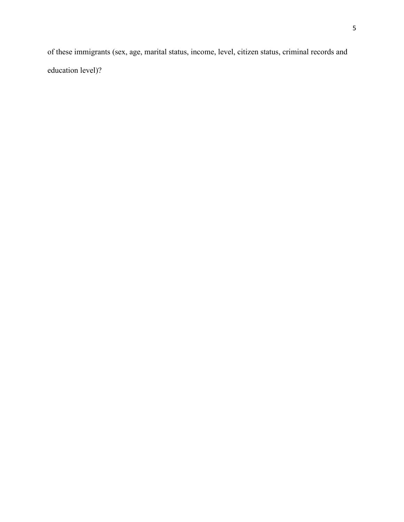of these immigrants (sex, age, marital status, income, level, citizen status, criminal records and education level)?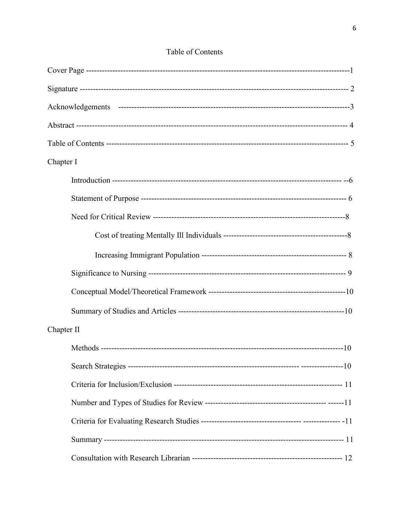| Chapter I  |  |
|------------|--|
|            |  |
|            |  |
|            |  |
|            |  |
|            |  |
|            |  |
|            |  |
|            |  |
| Chapter II |  |
|            |  |
|            |  |
|            |  |
|            |  |
|            |  |
|            |  |
|            |  |

## Table of Contents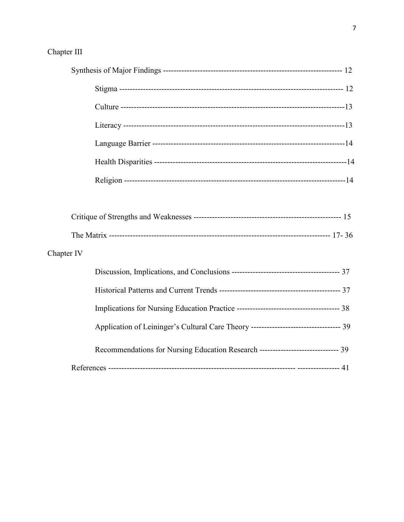## Chapter III

| Chapter IV |                                                                                  |
|------------|----------------------------------------------------------------------------------|
|            |                                                                                  |
|            |                                                                                  |
|            |                                                                                  |
|            |                                                                                  |
|            | Recommendations for Nursing Education Research ------------------------------ 39 |
|            |                                                                                  |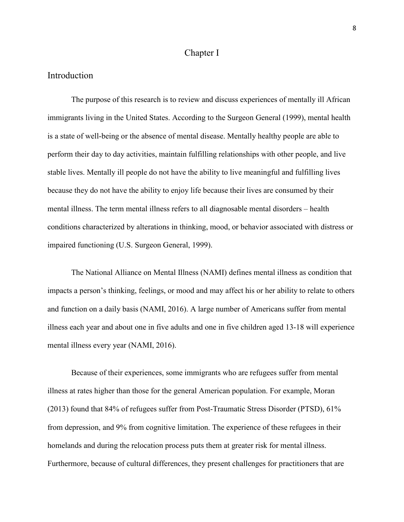#### Chapter I

### Introduction

The purpose of this research is to review and discuss experiences of mentally ill African immigrants living in the United States. According to the Surgeon General (1999), mental health is a state of well-being or the absence of mental disease. Mentally healthy people are able to perform their day to day activities, maintain fulfilling relationships with other people, and live stable lives. Mentally ill people do not have the ability to live meaningful and fulfilling lives because they do not have the ability to enjoy life because their lives are consumed by their mental illness. The term mental illness refers to all diagnosable mental disorders – health conditions characterized by alterations in thinking, mood, or behavior associated with distress or impaired functioning (U.S. Surgeon General, 1999).

The National Alliance on Mental Illness (NAMI) defines mental illness as condition that impacts a person's thinking, feelings, or mood and may affect his or her ability to relate to others and function on a daily basis (NAMI, 2016). A large number of Americans suffer from mental illness each year and about one in five adults and one in five children aged 13-18 will experience mental illness every year (NAMI, 2016).

Because of their experiences, some immigrants who are refugees suffer from mental illness at rates higher than those for the general American population. For example, Moran (2013) found that 84% of refugees suffer from Post-Traumatic Stress Disorder (PTSD), 61% from depression, and 9% from cognitive limitation. The experience of these refugees in their homelands and during the relocation process puts them at greater risk for mental illness. Furthermore, because of cultural differences, they present challenges for practitioners that are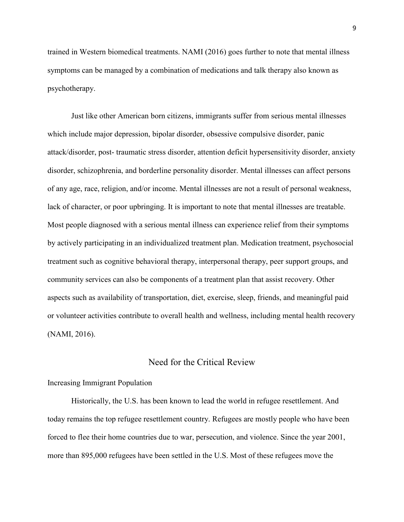trained in Western biomedical treatments. NAMI (2016) goes further to note that mental illness symptoms can be managed by a combination of medications and talk therapy also known as psychotherapy.

Just like other American born citizens, immigrants suffer from serious mental illnesses which include major depression, bipolar disorder, obsessive compulsive disorder, panic attack/disorder, post- traumatic stress disorder, attention deficit hypersensitivity disorder, anxiety disorder, schizophrenia, and borderline personality disorder. Mental illnesses can affect persons of any age, race, religion, and/or income. Mental illnesses are not a result of personal weakness, lack of character, or poor upbringing. It is important to note that mental illnesses are treatable. Most people diagnosed with a serious mental illness can experience relief from their symptoms by actively participating in an individualized treatment plan. Medication treatment, psychosocial treatment such as cognitive behavioral therapy, interpersonal therapy, peer support groups, and community services can also be components of a treatment plan that assist recovery. Other aspects such as availability of transportation, diet, exercise, sleep, friends, and meaningful paid or volunteer activities contribute to overall health and wellness, including mental health recovery (NAMI, 2016).

## Need for the Critical Review

#### Increasing Immigrant Population

Historically, the U.S. has been known to lead the world in refugee resettlement. And today remains the top refugee resettlement country. Refugees are mostly people who have been forced to flee their home countries due to war, persecution, and violence. Since the year 2001, more than 895,000 refugees have been settled in the U.S. Most of these refugees move the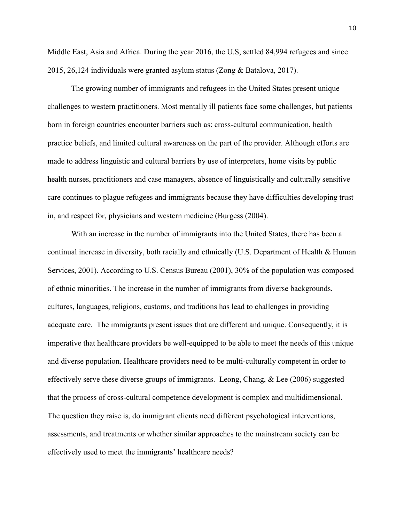Middle East, Asia and Africa. During the year 2016, the U.S, settled 84,994 refugees and since 2015, 26,124 individuals were granted asylum status (Zong & Batalova, 2017).

The growing number of immigrants and refugees in the United States present unique challenges to western practitioners. Most mentally ill patients face some challenges, but patients born in foreign countries encounter barriers such as: cross-cultural communication, health practice beliefs, and limited cultural awareness on the part of the provider. Although efforts are made to address linguistic and cultural barriers by use of interpreters, home visits by public health nurses, practitioners and case managers, absence of linguistically and culturally sensitive care continues to plague refugees and immigrants because they have difficulties developing trust in, and respect for, physicians and western medicine (Burgess (2004).

With an increase in the number of immigrants into the United States, there has been a continual increase in diversity, both racially and ethnically (U.S. Department of Health & Human Services, 2001). According to U.S. Census Bureau (2001), 30% of the population was composed of ethnic minorities. The increase in the number of immigrants from diverse backgrounds, cultures**,** languages, religions, customs, and traditions has lead to challenges in providing adequate care. The immigrants present issues that are different and unique. Consequently, it is imperative that healthcare providers be well-equipped to be able to meet the needs of this unique and diverse population. Healthcare providers need to be multi-culturally competent in order to effectively serve these diverse groups of immigrants. Leong, Chang, & Lee (2006) suggested that the process of cross-cultural competence development is complex and multidimensional. The question they raise is, do immigrant clients need different psychological interventions, assessments, and treatments or whether similar approaches to the mainstream society can be effectively used to meet the immigrants' healthcare needs?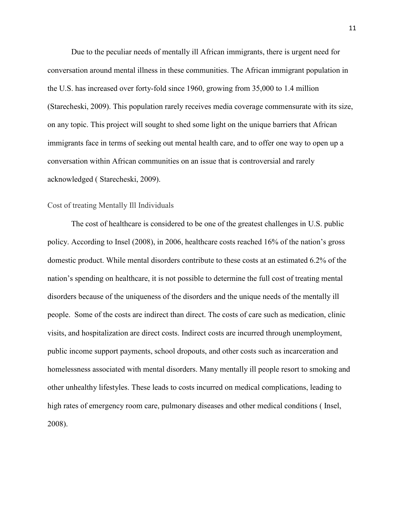Due to the peculiar needs of mentally ill African immigrants, there is urgent need for conversation around mental illness in these communities. The African immigrant population in the U.S. has increased over forty-fold since 1960, growing from 35,000 to 1.4 million (Starecheski, 2009). This population rarely receives media coverage commensurate with its size, on any topic. This project will sought to shed some light on the unique barriers that African immigrants face in terms of seeking out mental health care, and to offer one way to open up a conversation within African communities on an issue that is controversial and rarely acknowledged ( Starecheski, 2009).

#### Cost of treating Mentally Ill Individuals

The cost of healthcare is considered to be one of the greatest challenges in U.S. public policy. According to Insel (2008), in 2006, healthcare costs reached 16% of the nation's gross domestic product. While mental disorders contribute to these costs at an estimated 6.2% of the nation's spending on healthcare, it is not possible to determine the full cost of treating mental disorders because of the uniqueness of the disorders and the unique needs of the mentally ill people. Some of the costs are indirect than direct. The costs of care such as medication, clinic visits, and hospitalization are direct costs. Indirect costs are incurred through unemployment, public income support payments, school dropouts, and other costs such as incarceration and homelessness associated with mental disorders. Many mentally ill people resort to smoking and other unhealthy lifestyles. These leads to costs incurred on medical complications, leading to high rates of emergency room care, pulmonary diseases and other medical conditions ( Insel, 2008).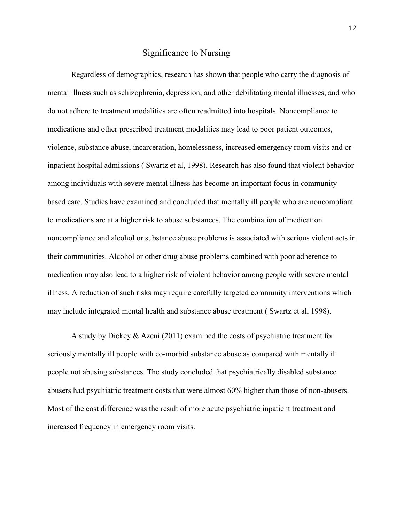## Significance to Nursing

Regardless of demographics, research has shown that people who carry the diagnosis of mental illness such as schizophrenia, depression, and other debilitating mental illnesses, and who do not adhere to treatment modalities are often readmitted into hospitals. Noncompliance to medications and other prescribed treatment modalities may lead to poor patient outcomes, violence, substance abuse, incarceration, homelessness, increased emergency room visits and or inpatient hospital admissions ( [Swartz](http://ajp.psychiatryonline.org/author/Swartz%2C+Marvin+S) et al, 1998). Research has also found that violent behavior among individuals with severe mental illness has become an important focus in communitybased care. Studies have examined and concluded that mentally ill people who are noncompliant to medications are at a higher risk to abuse substances. The combination of medication noncompliance and alcohol or substance abuse problems is associated with serious violent acts in their communities. Alcohol or other drug abuse problems combined with poor adherence to medication may also lead to a higher risk of violent behavior among people with severe mental illness. A reduction of such risks may require carefully targeted community interventions which may include integrated mental health and substance abuse treatment ( [Swartz](http://ajp.psychiatryonline.org/author/Swartz%2C+Marvin+S) et al, 1998).

A study by [Dickey](http://ajph.aphapublications.org/author/Dickey%2C+B) & [Azeni](http://ajph.aphapublications.org/author/Azeni%2C+H) (2011) examined the costs of psychiatric treatment for seriously mentally ill people with co-morbid substance abuse as compared with mentally ill people not abusing substances. The study concluded that psychiatrically disabled substance abusers had psychiatric treatment costs that were almost 60% higher than those of non-abusers. Most of the cost difference was the result of more acute psychiatric inpatient treatment and increased frequency in emergency room visits.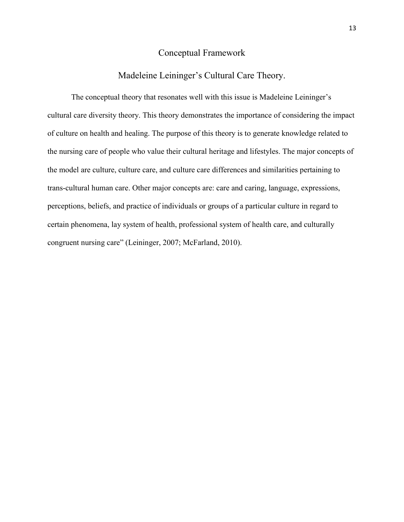## Conceptual Framework

## Madeleine Leininger's Cultural Care Theory.

The conceptual theory that resonates well with this issue is Madeleine Leininger's cultural care diversity theory. This theory demonstrates the importance of considering the impact of culture on health and healing. The purpose of this theory is to generate knowledge related to the nursing care of people who value their cultural heritage and lifestyles. The major concepts of the model are culture, culture care, and culture care differences and similarities pertaining to trans-cultural human care. Other major concepts are: care and caring, language, expressions, perceptions, beliefs, and practice of individuals or groups of a particular culture in regard to certain phenomena, lay system of health, professional system of health care, and culturally congruent nursing care" (Leininger, 2007; McFarland, 2010).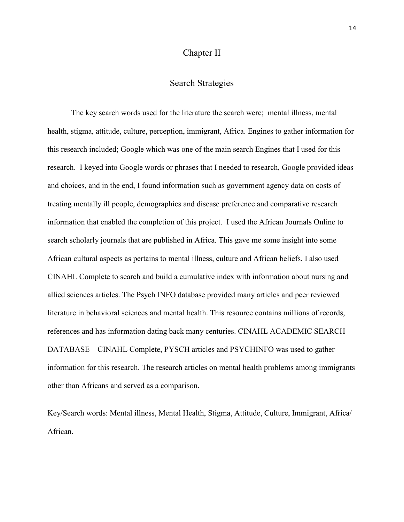### Chapter II

## Search Strategies

The key search words used for the literature the search were; mental illness, mental health, stigma, attitude, culture, perception, immigrant, Africa. Engines to gather information for this research included; Google which was one of the main search Engines that I used for this research. I keyed into Google words or phrases that I needed to research, Google provided ideas and choices, and in the end, I found information such as government agency data on costs of treating mentally ill people, demographics and disease preference and comparative research information that enabled the completion of this project. I used the African Journals Online to search scholarly journals that are published in Africa. This gave me some insight into some African cultural aspects as pertains to mental illness, culture and African beliefs. I also used CINAHL Complete to search and build a cumulative index with information about nursing and allied sciences articles. The Psych INFO database provided many articles and peer reviewed literature in behavioral sciences and mental health. This resource contains millions of records, references and has information dating back many centuries. CINAHL ACADEMIC SEARCH DATABASE – CINAHL Complete, PYSCH articles and PSYCHINFO was used to gather information for this research. The research articles on mental health problems among immigrants other than Africans and served as a comparison.

Key/Search words: Mental illness, Mental Health, Stigma, Attitude, Culture, Immigrant, Africa/ African.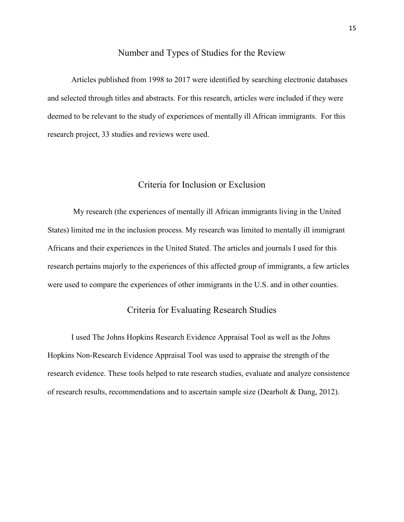## Number and Types of Studies for the Review

Articles published from 1998 to 2017 were identified by searching electronic databases and selected through titles and abstracts. For this research, articles were included if they were deemed to be relevant to the study of experiences of mentally ill African immigrants. For this research project, 33 studies and reviews were used.

## Criteria for Inclusion or Exclusion

My research (the experiences of mentally ill African immigrants living in the United States) limited me in the inclusion process. My research was limited to mentally ill immigrant Africans and their experiences in the United Stated. The articles and journals I used for this research pertains majorly to the experiences of this affected group of immigrants, a few articles were used to compare the experiences of other immigrants in the U.S. and in other counties.

## Criteria for Evaluating Research Studies

I used The Johns Hopkins Research Evidence Appraisal Tool as well as the Johns Hopkins Non-Research Evidence Appraisal Tool was used to appraise the strength of the research evidence. These tools helped to rate research studies, evaluate and analyze consistence of research results, recommendations and to ascertain sample size (Dearholt & Dang, 2012).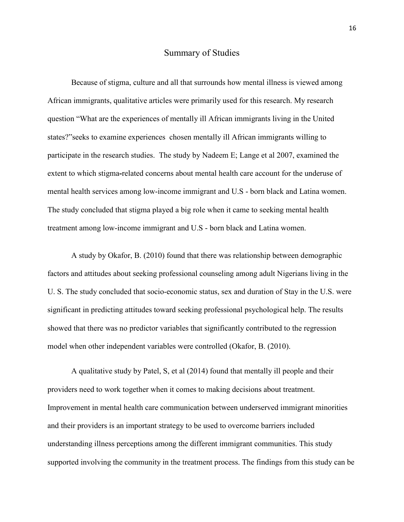#### Summary of Studies

Because of stigma, culture and all that surrounds how mental illness is viewed among African immigrants, qualitative articles were primarily used for this research. My research question "What are the experiences of mentally ill African immigrants living in the United states?"seeks to examine experiences chosen mentally ill African immigrants willing to participate in the research studies. The study by Nadeem E; Lange et al 2007, examined the extent to which stigma**-**related concerns about mental health care account for the underuse of mental health services among low-income immigrant and U.S - born black and Latina women. The study concluded that stigma played a big role when it came to seeking mental health treatment among low-income immigrant and U.S - born black and Latina women.

A study by Okafor, B. (2010) found that there was relationship between demographic factors and attitudes about seeking professional counseling among adult Nigerians living in the U. S. The study concluded that socio-economic status, sex and duration of Stay in the U.S. were significant in predicting attitudes toward seeking professional psychological help. The results showed that there was no predictor variables that significantly contributed to the regression model when other independent variables were controlled (Okafor, B. (2010).

A qualitative study by Patel, S, et al (2014) found that mentally ill people and their providers need to work together when it comes to making decisions about treatment. Improvement in mental health care communication between underserved immigrant minorities and their providers is an important strategy to be used to overcome barriers included understanding illness perceptions among the different immigrant communities. This study supported involving the community in the treatment process. The findings from this study can be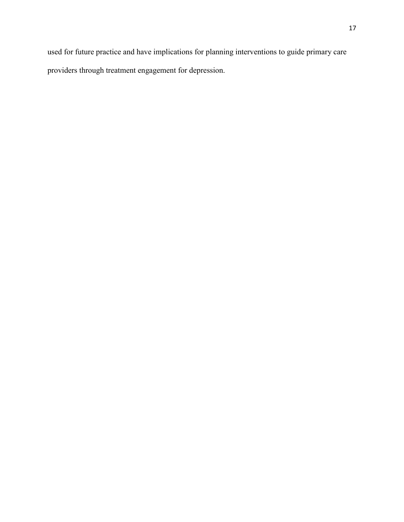used for future practice and have implications for planning interventions to guide primary care providers through treatment engagement for depression.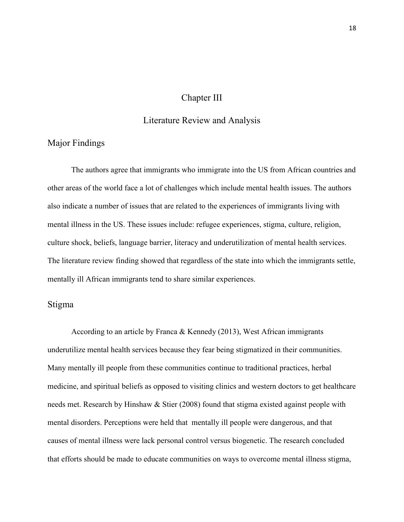## Chapter III

## Literature Review and Analysis

## Major Findings

The authors agree that immigrants who immigrate into the US from African countries and other areas of the world face a lot of challenges which include mental health issues. The authors also indicate a number of issues that are related to the experiences of immigrants living with mental illness in the US. These issues include: refugee experiences, stigma, culture, religion, culture shock, beliefs, language barrier, literacy and underutilization of mental health services. The literature review finding showed that regardless of the state into which the immigrants settle, mentally ill African immigrants tend to share similar experiences.

### Stigma

According to an article by Franca & Kennedy (2013), West African immigrants underutilize mental health services because they fear being stigmatized in their communities. Many mentally ill people from these communities continue to traditional practices, herbal medicine, and spiritual beliefs as opposed to visiting clinics and western doctors to get healthcare needs met. Research by Hinshaw & Stier (2008) found that stigma existed against people with mental disorders. Perceptions were held that mentally ill people were dangerous, and that causes of mental illness were lack personal control versus biogenetic. The research concluded that efforts should be made to educate communities on ways to overcome mental illness stigma,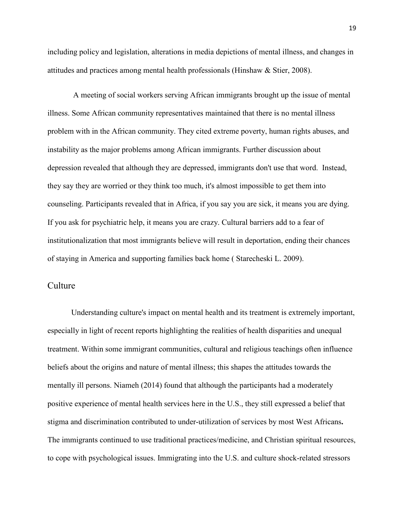including policy and legislation, alterations in media depictions of mental illness, and changes in attitudes and practices among mental health professionals (Hinshaw & Stier, 2008).

A meeting of social workers serving African immigrants brought up the issue of mental illness. Some African community representatives maintained that there is no mental illness problem with in the African community. They cited extreme poverty, human rights abuses, and instability as the major problems among African immigrants. Further discussion about depression revealed that although they are depressed, immigrants don't use that word. Instead, they say they are worried or they think too much, it's almost impossible to get them into counseling. Participants revealed that in Africa, if you say you are sick, it means you are dying. If you ask for psychiatric help, it means you are crazy. Cultural barriers add to a fear of institutionalization that most immigrants believe will result in deportation, ending their chances of staying in America and supporting families back home ( Starecheski L. 2009).

### **Culture**

Understanding culture's impact on mental health and its treatment is extremely important, especially in light of recent reports highlighting the realities of health disparities and unequal treatment. Within some immigrant communities, cultural and religious teachings often influence beliefs about the origins and nature of mental illness; this shapes the attitudes towards the mentally ill persons. Niameh (2014) found that although the participants had a moderately positive experience of mental health services here in the U.S., they still expressed a belief that stigma and discrimination contributed to under-utilization of services by most West Africans**.** The immigrants continued to use traditional practices/medicine, and Christian spiritual resources, to cope with psychological issues. Immigrating into the U.S. and culture shock-related stressors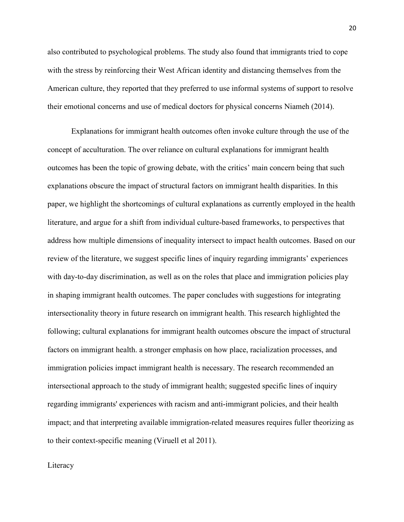also contributed to psychological problems. The study also found that immigrants tried to cope with the stress by reinforcing their West African identity and distancing themselves from the American culture, they reported that they preferred to use informal systems of support to resolve their emotional concerns and use of medical doctors for physical concerns Niameh (2014).

Explanations for immigrant health outcomes often invoke culture through the use of the concept of acculturation. The over reliance on cultural explanations for immigrant health outcomes has been the topic of growing debate, with the critics' main concern being that such explanations obscure the impact of structural factors on immigrant health disparities. In this paper, we highlight the shortcomings of cultural explanations as currently employed in the health literature, and argue for a shift from individual culture-based frameworks, to perspectives that address how multiple dimensions of inequality intersect to impact health outcomes. Based on our review of the literature, we suggest specific lines of inquiry regarding immigrants' experiences with day-to-day discrimination, as well as on the roles that place and immigration policies play in shaping immigrant health outcomes. The paper concludes with suggestions for integrating intersectionality theory in future research on immigrant health. This research highlighted the following; cultural explanations for immigrant health outcomes obscure the impact of structural factors on immigrant health. a stronger emphasis on how place, racialization processes, and immigration policies impact immigrant health is necessary. The research recommended an intersectional approach to the study of immigrant health; suggested specific lines of inquiry regarding immigrants' experiences with racism and anti-immigrant policies, and their health impact; and that interpreting available immigration-related measures requires fuller theorizing as to their context-specific meaning [\(Viruell et al 2011\).](http://www.sciencedirect.com/science/article/pii/S0277953612000822%23!) 

#### **Literacy**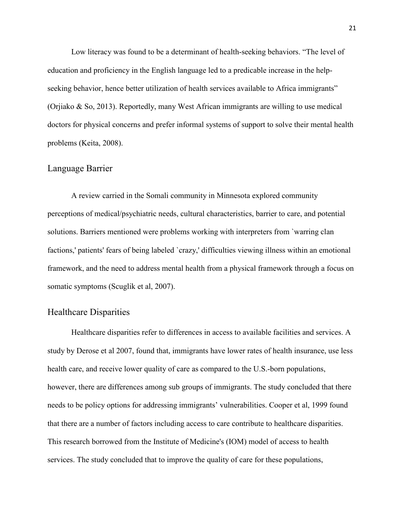Low literacy was found to be a determinant of health-seeking behaviors. "The level of education and proficiency in the English language led to a predicable increase in the helpseeking behavior, hence better utilization of health services available to Africa immigrants" (Orjiako & So, 2013). Reportedly, many West African immigrants are willing to use medical doctors for physical concerns and prefer informal systems of support to solve their mental health problems (Keita, 2008).

## Language Barrier

A review carried in the Somali community in Minnesota explored community perceptions of medical/psychiatric needs, cultural characteristics, barrier to care, and potential solutions. Barriers mentioned were problems working with interpreters from `warring clan factions,' patients' fears of being labeled `crazy,' difficulties viewing illness within an emotional framework, and the need to address mental health from a physical framework through a focus on somatic symptoms (Scuglik et al, 2007).

## Healthcare Disparities

Healthcare disparities refer to differences in access to available facilities and services. A study by Derose et al 2007, found that, immigrants have lower rates of health insurance, use less health care, and receive lower quality of care as compared to the U.S.-born populations, however, there are differences among sub groups of immigrants. The study concluded that there needs to be policy options for addressing immigrants' vulnerabilities. Cooper et al, 1999 found that there are a number of factors including access to care contribute to healthcare disparities. This research borrowed from the Institute of Medicine's (IOM) model of access to health services. The study concluded that to improve the quality of care for these populations,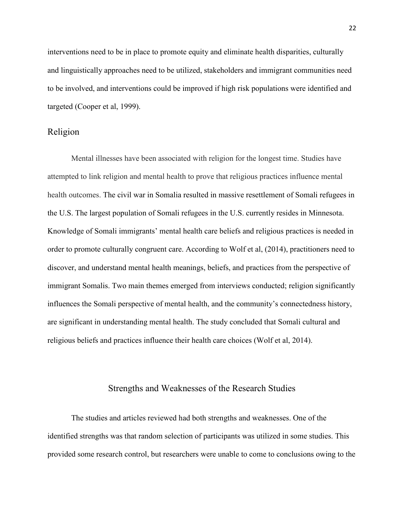interventions need to be in place to promote equity and eliminate health disparities, culturally and linguistically approaches need to be utilized, stakeholders and immigrant communities need to be involved, and interventions could be improved if high risk populations were identified and targeted (Cooper et al, 1999).

## Religion

Mental illnesses have been associated with religion for the longest time. Studies have attempted to link religion and mental health to prove that religious practices influence mental health outcomes. The civil war in Somalia resulted in massive resettlement of Somali refugees in the U.S. The largest population of Somali refugees in the U.S. currently resides in Minnesota. Knowledge of Somali immigrants' mental health care beliefs and religious practices is needed in order to promote culturally congruent care. According to Wolf et al, (2014), practitioners need to discover, and understand mental health meanings, beliefs, and practices from the perspective of immigrant Somalis. Two main themes emerged from interviews conducted; religion significantly influences the Somali perspective of mental health, and the community's connectedness history, are significant in understanding mental health. The study concluded that Somali cultural and religious beliefs and practices influence their health care choices (Wolf et al, 2014).

#### Strengths and Weaknesses of the Research Studies

The studies and articles reviewed had both strengths and weaknesses. One of the identified strengths was that random selection of participants was utilized in some studies. This provided some research control, but researchers were unable to come to conclusions owing to the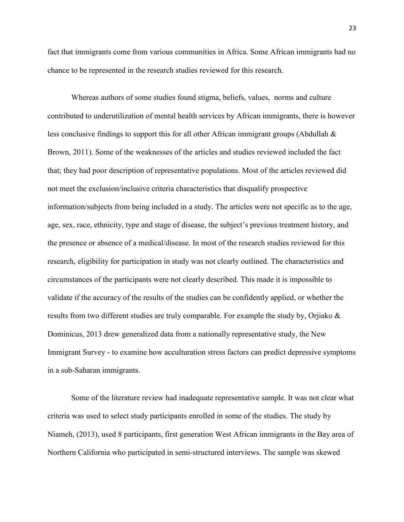fact that immigrants come from various communities in Africa. Some African immigrants had no chance to be represented in the research studies reviewed for this research.

Whereas authors of some studies found stigma, beliefs, values, norms and culture contributed to underutilization of mental health services by African immigrants, there is however less conclusive findings to support this for all other African immigrant groups (Abdullah & Brown, 2011). Some of the weaknesses of the articles and studies reviewed included the fact that; they had poor description of representative populations. Most of the articles reviewed did not meet the exclusion/inclusive criteria characteristics that disqualify prospective information/subjects from being included in a study. The articles were not specific as to the age, age, sex, race, ethnicity, type and stage of disease, the subject's previous treatment history, and the presence or absence of a medical/disease. In most of the research studies reviewed for this research, eligibility for participation in study was not clearly outlined. The characteristics and circumstances of the participants were not clearly described. This made it is impossible to validate if the accuracy of the results of the studies can be confidently applied, or whether the results from two different studies are truly comparable. For example the study by, [Orjiako](mailto:%20Orjiako%20Department%20of%20Clinical%20Psychology,%20Howard%20University,%20Washington,%20USACorrespondenceoorjiako@hotmail.com) & Dominicus, 2013 drew generalized data from a nationally representative study, the New Immigrant Survey - to examine how acculturation stress factors can predict depressive symptoms in a sub-Saharan immigrants.

Some of the literature review had inadequate representative sample. It was not clear what criteria was used to select study participants enrolled in some of the studies. The study by Niameh, (2013), used 8 participants, first generation West African immigrants in the Bay area of Northern California who participated in semi-structured interviews. The sample was skewed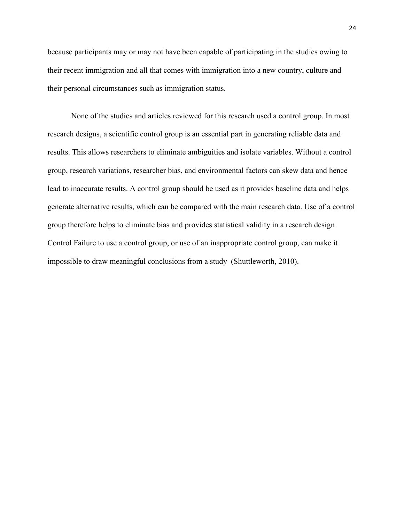because participants may or may not have been capable of participating in the studies owing to their recent immigration and all that comes with immigration into a new country, culture and their personal circumstances such as immigration status.

None of the studies and articles reviewed for this research used a control group. In most research designs, a scientific control group is an essential part in generating reliable data and results. This allows researchers to eliminate ambiguities and isolate variables. Without a control group, research variations, researcher bias, and environmental factors can skew data and hence lead to inaccurate results. A control group should be used as it provides baseline data and helps generate alternative results, which can be compared with the main research data. Use of a control group therefore helps to eliminate bias and provides statistical validity in a research design Control Failure to use a control group, or use of an inappropriate control group, can make it impossible to draw meaningful conclusions from a study (Shuttleworth, 2010).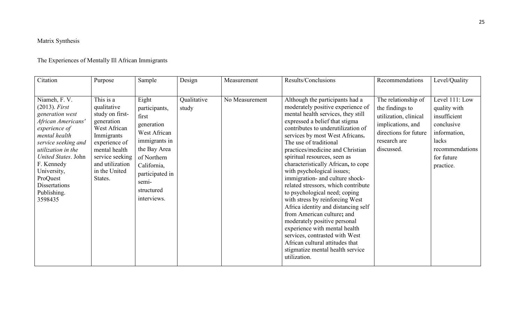## Matrix Synthesis

## The Experiences of Mentally Ill African Immigrants

| Citation                                                                                                                                                                                                                                                                    | Purpose                                                                                                                                                                                     | Sample                                                                                                                                                                                | Design               | Measurement    | Results/Conclusions                                                                                                                                                                                                                                                                                                                                                                                                                                                                                                                                                                                                                                                                                                                                                                                   | Recommendations                                                                                                                             | Level/Quality                                                                                                                       |
|-----------------------------------------------------------------------------------------------------------------------------------------------------------------------------------------------------------------------------------------------------------------------------|---------------------------------------------------------------------------------------------------------------------------------------------------------------------------------------------|---------------------------------------------------------------------------------------------------------------------------------------------------------------------------------------|----------------------|----------------|-------------------------------------------------------------------------------------------------------------------------------------------------------------------------------------------------------------------------------------------------------------------------------------------------------------------------------------------------------------------------------------------------------------------------------------------------------------------------------------------------------------------------------------------------------------------------------------------------------------------------------------------------------------------------------------------------------------------------------------------------------------------------------------------------------|---------------------------------------------------------------------------------------------------------------------------------------------|-------------------------------------------------------------------------------------------------------------------------------------|
| Niameh, F. V.<br>$(2013)$ . First<br>generation west<br>African Americans'<br>experience of<br>mental health<br>service seeking and<br>utilization in the<br>United States. John<br>F. Kennedy<br>University,<br>ProQuest<br><b>Dissertations</b><br>Publishing.<br>3598435 | This is a<br>qualitative<br>study on first-<br>generation<br>West African<br>Immigrants<br>experience of<br>mental health<br>service seeking<br>and utilization<br>in the United<br>States. | Eight<br>participants,<br>first<br>generation<br>West African<br>immigrants in<br>the Bay Area<br>of Northern<br>California,<br>participated in<br>semi-<br>structured<br>interviews. | Qualitative<br>study | No Measurement | Although the participants had a<br>moderately positive experience of<br>mental health services, they still<br>expressed a belief that stigma<br>contributes to underutilization of<br>services by most West Africans.<br>The use of traditional<br>practices/medicine and Christian<br>spiritual resources, seen as<br>characteristically African, to cope<br>with psychological issues;<br>immigration- and culture shock-<br>related stressors, which contribute<br>to psychological need; coping<br>with stress by reinforcing West<br>Africa identity and distancing self<br>from American culture; and<br>moderately positive personal<br>experience with mental health<br>services, contrasted with West<br>African cultural attitudes that<br>stigmatize mental health service<br>utilization. | The relationship of<br>the findings to<br>utilization, clinical<br>implications, and<br>directions for future<br>research are<br>discussed. | Level 111: Low<br>quality with<br>insufficient<br>conclusive<br>information,<br>lacks<br>recommendations<br>for future<br>practice. |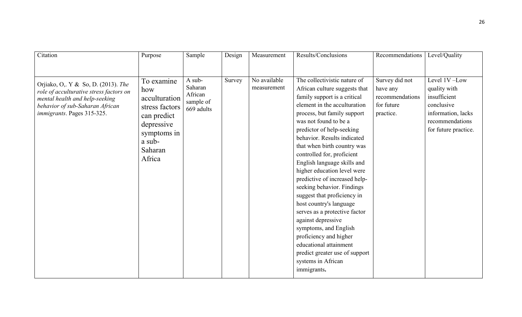| Citation                                                                                                                                                                          | Purpose                                                                                                                         | Sample                                                  | Design | Measurement                 | Results/Conclusions                                                                                                                                                                                                                                                                                                                                                                                                                                                                                   | Recommendations                                                          | Level/Quality                                                                                                               |
|-----------------------------------------------------------------------------------------------------------------------------------------------------------------------------------|---------------------------------------------------------------------------------------------------------------------------------|---------------------------------------------------------|--------|-----------------------------|-------------------------------------------------------------------------------------------------------------------------------------------------------------------------------------------------------------------------------------------------------------------------------------------------------------------------------------------------------------------------------------------------------------------------------------------------------------------------------------------------------|--------------------------------------------------------------------------|-----------------------------------------------------------------------------------------------------------------------------|
|                                                                                                                                                                                   |                                                                                                                                 |                                                         |        |                             |                                                                                                                                                                                                                                                                                                                                                                                                                                                                                                       |                                                                          |                                                                                                                             |
| Orjiako, O., Y & So, D. (2013). The<br>role of acculturative stress factors on<br>mental health and help-seeking<br>behavior of sub-Saharan African<br>immigrants. Pages 315-325. | To examine<br>how<br>acculturation<br>stress factors<br>can predict<br>depressive<br>symptoms in<br>a sub-<br>Saharan<br>Africa | A sub-<br>Saharan<br>African<br>sample of<br>669 adults | Survey | No available<br>measurement | The collectivistic nature of<br>African culture suggests that<br>family support is a critical<br>element in the acculturation<br>process, but family support<br>was not found to be a<br>predictor of help-seeking<br>behavior. Results indicated<br>that when birth country was<br>controlled for, proficient<br>English language skills and<br>higher education level were<br>predictive of increased help-<br>seeking behavior. Findings<br>suggest that proficiency in<br>host country's language | Survey did not<br>have any<br>recommendations<br>for future<br>practice. | Level 1V-Low<br>quality with<br>insufficient<br>conclusive<br>information, lacks<br>recommendations<br>for future practice. |
|                                                                                                                                                                                   |                                                                                                                                 |                                                         |        |                             | serves as a protective factor                                                                                                                                                                                                                                                                                                                                                                                                                                                                         |                                                                          |                                                                                                                             |
|                                                                                                                                                                                   |                                                                                                                                 |                                                         |        |                             | against depressive                                                                                                                                                                                                                                                                                                                                                                                                                                                                                    |                                                                          |                                                                                                                             |
|                                                                                                                                                                                   |                                                                                                                                 |                                                         |        |                             | symptoms, and English<br>proficiency and higher                                                                                                                                                                                                                                                                                                                                                                                                                                                       |                                                                          |                                                                                                                             |
|                                                                                                                                                                                   |                                                                                                                                 |                                                         |        |                             | educational attainment                                                                                                                                                                                                                                                                                                                                                                                                                                                                                |                                                                          |                                                                                                                             |
|                                                                                                                                                                                   |                                                                                                                                 |                                                         |        |                             | predict greater use of support                                                                                                                                                                                                                                                                                                                                                                                                                                                                        |                                                                          |                                                                                                                             |
|                                                                                                                                                                                   |                                                                                                                                 |                                                         |        |                             | systems in African                                                                                                                                                                                                                                                                                                                                                                                                                                                                                    |                                                                          |                                                                                                                             |
|                                                                                                                                                                                   |                                                                                                                                 |                                                         |        |                             | immigrants.                                                                                                                                                                                                                                                                                                                                                                                                                                                                                           |                                                                          |                                                                                                                             |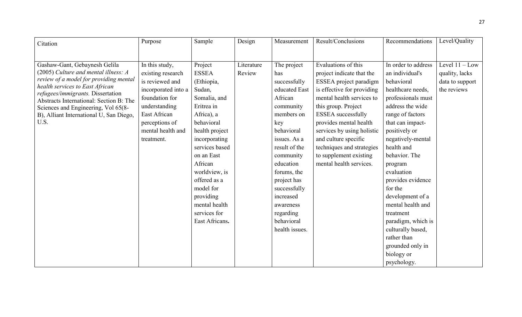| Citation                                                                  | Purpose             | Sample         | Design     | Measurement    | Result/Conclusions         | Recommendations     | Level/Quality    |
|---------------------------------------------------------------------------|---------------------|----------------|------------|----------------|----------------------------|---------------------|------------------|
|                                                                           |                     |                |            |                |                            |                     |                  |
|                                                                           |                     |                |            |                |                            |                     |                  |
| Gashaw-Gant, Gebaynesh Gelila                                             | In this study,      | Project        | Literature | The project    | Evaluations of this        | In order to address | Level $11 - Low$ |
| (2005) Culture and mental illness: A                                      | existing research   | <b>ESSEA</b>   | Review     | has            | project indicate that the  | an individual's     | quality, lacks   |
| review of a model for providing mental<br>health services to East African | is reviewed and     | (Ethiopia,     |            | successfully   | ESSEA project paradigm     | behavioral          | data to support  |
| refugees/immigrants. Dissertation                                         | incorporated into a | Sudan,         |            | educated East  | is effective for providing | healthcare needs,   | the reviews      |
| Abstracts International: Section B: The                                   | foundation for      | Somalia, and   |            | African        | mental health services to  | professionals must  |                  |
| Sciences and Engineering, Vol 65(8-                                       | understanding       | Eritrea in     |            | community      | this group. Project        | address the wide    |                  |
| B), Alliant International U, San Diego,                                   | East African        | Africa), a     |            | members on     | <b>ESSEA</b> successfully  | range of factors    |                  |
| U.S.                                                                      | perceptions of      | behavioral     |            | key            | provides mental health     | that can impact-    |                  |
|                                                                           | mental health and   | health project |            | behavioral     | services by using holistic | positively or       |                  |
|                                                                           | treatment.          | incorporating  |            | issues. As a   | and culture specific       | negatively-mental   |                  |
|                                                                           |                     | services based |            | result of the  | techniques and strategies  | health and          |                  |
|                                                                           |                     | on an East     |            | community      | to supplement existing     | behavior. The       |                  |
|                                                                           |                     | African        |            | education      | mental health services.    | program             |                  |
|                                                                           |                     | worldview, is  |            | forums, the    |                            | evaluation          |                  |
|                                                                           |                     | offered as a   |            | project has    |                            | provides evidence   |                  |
|                                                                           |                     | model for      |            | successfully   |                            | for the             |                  |
|                                                                           |                     | providing      |            | increased      |                            | development of a    |                  |
|                                                                           |                     | mental health  |            | awareness      |                            | mental health and   |                  |
|                                                                           |                     | services for   |            | regarding      |                            | treatment           |                  |
|                                                                           |                     | East Africans. |            | behavioral     |                            | paradigm, which is  |                  |
|                                                                           |                     |                |            | health issues. |                            | culturally based,   |                  |
|                                                                           |                     |                |            |                |                            | rather than         |                  |
|                                                                           |                     |                |            |                |                            | grounded only in    |                  |
|                                                                           |                     |                |            |                |                            | biology or          |                  |
|                                                                           |                     |                |            |                |                            | psychology.         |                  |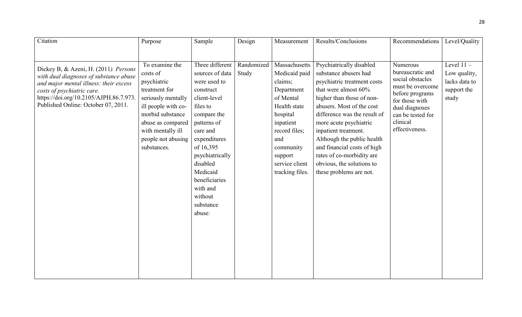| Citation                                                                                                                                                                                                                                 | Purpose                                                                                                                                                                                                    | Sample                                                                                                                                                                                                                                                                       | Design              | Measurement                                                                                                                                                                                        | Results/Conclusions                                                                                                                                                                                                                                                                                                                                                                                    | Recommendations                                                                                                                                                                | Level/Quality                                                         |
|------------------------------------------------------------------------------------------------------------------------------------------------------------------------------------------------------------------------------------------|------------------------------------------------------------------------------------------------------------------------------------------------------------------------------------------------------------|------------------------------------------------------------------------------------------------------------------------------------------------------------------------------------------------------------------------------------------------------------------------------|---------------------|----------------------------------------------------------------------------------------------------------------------------------------------------------------------------------------------------|--------------------------------------------------------------------------------------------------------------------------------------------------------------------------------------------------------------------------------------------------------------------------------------------------------------------------------------------------------------------------------------------------------|--------------------------------------------------------------------------------------------------------------------------------------------------------------------------------|-----------------------------------------------------------------------|
| Dickey B, & Azeni, H. (2011). Persons<br>with dual diagnoses of substance abuse<br>and major mental illness: their excess<br>costs of psychiatric care.<br>https://doi.org/10.2105/AJPH.86.7.973.<br>Published Online: October 07, 2011. | To examine the<br>costs of<br>psychiatric<br>treatment for<br>seriously mentally<br>ill people with co-<br>morbid substance<br>abuse as compared<br>with mentally ill<br>people not abusing<br>substances. | Three different<br>sources of data<br>were used to<br>construct<br>client-level<br>files to<br>compare the<br>patterns of<br>care and<br>expenditures<br>of 16,395<br>psychiatrically<br>disabled<br>Medicaid<br>beneficiaries<br>with and<br>without<br>substance<br>abuse: | Randomized<br>Study | Massachusetts<br>Medicaid paid<br>claims;<br>Department<br>of Mental<br>Health state<br>hospital<br>inpatient<br>record files;<br>and<br>community<br>support<br>service client<br>tracking files. | Psychiatrically disabled<br>substance abusers had<br>psychiatric treatment costs<br>that were almost 60%<br>higher than those of non-<br>abusers. Most of the cost<br>difference was the result of<br>more acute psychiatric<br>inpatient treatment.<br>Although the public health<br>and financial costs of high<br>rates of co-morbidity are<br>obvious, the solutions to<br>these problems are not. | Numerous<br>bureaucratic and<br>social obstacles<br>must be overcome<br>before programs<br>for those with<br>dual diagnoses<br>can be tested for<br>clinical<br>effectiveness. | Level $11 -$<br>Low quality,<br>lacks data to<br>support the<br>study |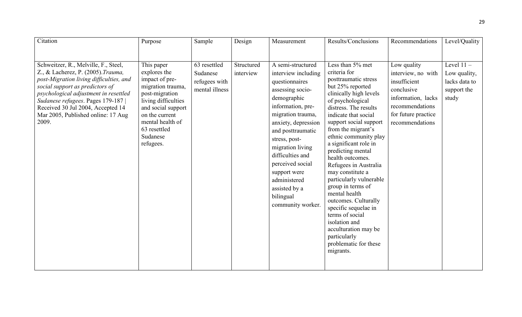| Citation                                                                                                                                                                                                                                                                                                                  | Purpose                                                                                                                                                                                                         | Sample                                                      | Design                  | Measurement                                                                                                                                                                                                                                                                                                                                         | Results/Conclusions                                                                                                                                                                                                                                                                                                                                                                                                                                                                                                                                                                                    | Recommendations                                                                                                                                    | Level/Quality                                                         |
|---------------------------------------------------------------------------------------------------------------------------------------------------------------------------------------------------------------------------------------------------------------------------------------------------------------------------|-----------------------------------------------------------------------------------------------------------------------------------------------------------------------------------------------------------------|-------------------------------------------------------------|-------------------------|-----------------------------------------------------------------------------------------------------------------------------------------------------------------------------------------------------------------------------------------------------------------------------------------------------------------------------------------------------|--------------------------------------------------------------------------------------------------------------------------------------------------------------------------------------------------------------------------------------------------------------------------------------------------------------------------------------------------------------------------------------------------------------------------------------------------------------------------------------------------------------------------------------------------------------------------------------------------------|----------------------------------------------------------------------------------------------------------------------------------------------------|-----------------------------------------------------------------------|
| Schweitzer, R., Melville, F., Steel,<br>Z., & Lacherez, P. (2005). Trauma,<br>post-Migration living difficulties, and<br>social support as predictors of<br>psychological adjustment in resettled<br>Sudanese refugees. Pages 179-187<br>Received 30 Jul 2004, Accepted 14<br>Mar 2005, Published online: 17 Aug<br>2009. | This paper<br>explores the<br>impact of pre-<br>migration trauma,<br>post-migration<br>living difficulties<br>and social support<br>on the current<br>mental health of<br>63 resettled<br>Sudanese<br>refugees. | 63 resettled<br>Sudanese<br>refugees with<br>mental illness | Structured<br>interview | A semi-structured<br>interview including<br>questionnaires<br>assessing socio-<br>demographic<br>information, pre-<br>migration trauma,<br>anxiety, depression<br>and posttraumatic<br>stress, post-<br>migration living<br>difficulties and<br>perceived social<br>support were<br>administered<br>assisted by a<br>bilingual<br>community worker. | Less than 5% met<br>criteria for<br>posttraumatic stress<br>but 25% reported<br>clinically high levels<br>of psychological<br>distress. The results<br>indicate that social<br>support social support<br>from the migrant's<br>ethnic community play<br>a significant role in<br>predicting mental<br>health outcomes.<br>Refugees in Australia<br>may constitute a<br>particularly vulnerable<br>group in terms of<br>mental health<br>outcomes. Culturally<br>specific sequelae in<br>terms of social<br>isolation and<br>acculturation may be<br>particularly<br>problematic for these<br>migrants. | Low quality<br>interview, no with<br>insufficient<br>conclusive<br>information, lacks<br>recommendations<br>for future practice<br>recommendations | Level $11 -$<br>Low quality,<br>lacks data to<br>support the<br>study |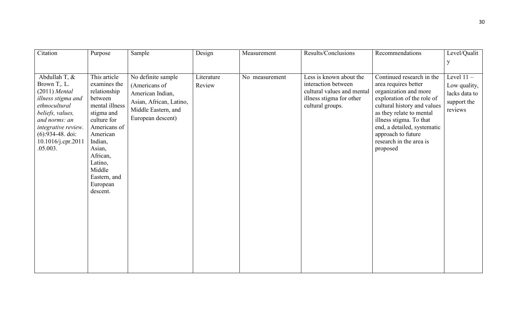| Citation                                                                                                                                                                                                                  | Purpose                                                                                                                                                                                                                          | Sample                                                                                                                         | Design               | Measurement    | Results/Conclusions                                                                                                          | Recommendations                                                                                                                                                                                                                                                                            | Level/Qualit                                                            |
|---------------------------------------------------------------------------------------------------------------------------------------------------------------------------------------------------------------------------|----------------------------------------------------------------------------------------------------------------------------------------------------------------------------------------------------------------------------------|--------------------------------------------------------------------------------------------------------------------------------|----------------------|----------------|------------------------------------------------------------------------------------------------------------------------------|--------------------------------------------------------------------------------------------------------------------------------------------------------------------------------------------------------------------------------------------------------------------------------------------|-------------------------------------------------------------------------|
|                                                                                                                                                                                                                           |                                                                                                                                                                                                                                  |                                                                                                                                |                      |                |                                                                                                                              |                                                                                                                                                                                                                                                                                            | y                                                                       |
| Abdullah T, &<br>Brown T <sub>y</sub> . L.<br>$(2011)$ Mental<br>illness stigma and<br>ethnocultural<br>beliefs, values,<br>and norms: an<br>integrative review.<br>$(6):934-48$ . doi:<br>10.1016/j.cpr.2011<br>.05.003. | This article<br>examines the<br>relationship<br>between<br>mental illness<br>stigma and<br>culture for<br>Americans of<br>American<br>Indian,<br>Asian,<br>African,<br>Latino,<br>Middle<br>Eastern, and<br>European<br>descent. | No definite sample<br>(Americans of<br>American Indian,<br>Asian, African, Latino,<br>Middle Eastern, and<br>European descent) | Literature<br>Review | No measurement | Less is known about the<br>interaction between<br>cultural values and mental<br>illness stigma for other<br>cultural groups. | Continued research in the<br>area requires better<br>organization and more<br>exploration of the role of<br>cultural history and values<br>as they relate to mental<br>illness stigma. To that<br>end, a detailed, systematic<br>approach to future<br>research in the area is<br>proposed | Level $11 -$<br>Low quality,<br>lacks data to<br>support the<br>reviews |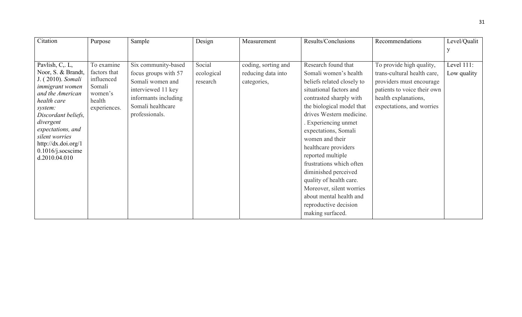|                                                                                                                                                      | Design                 | Measurement                                              | Results/Conclusions                                                                                                                                                                                                                                                                                                                                                                                                                                                    | Recommendations                                                                                                                                                         | Level/Qualit              |
|------------------------------------------------------------------------------------------------------------------------------------------------------|------------------------|----------------------------------------------------------|------------------------------------------------------------------------------------------------------------------------------------------------------------------------------------------------------------------------------------------------------------------------------------------------------------------------------------------------------------------------------------------------------------------------------------------------------------------------|-------------------------------------------------------------------------------------------------------------------------------------------------------------------------|---------------------------|
|                                                                                                                                                      |                        |                                                          |                                                                                                                                                                                                                                                                                                                                                                                                                                                                        |                                                                                                                                                                         |                           |
|                                                                                                                                                      |                        |                                                          |                                                                                                                                                                                                                                                                                                                                                                                                                                                                        |                                                                                                                                                                         |                           |
| Six community-based<br>focus groups with 57<br>Somali women and<br>interviewed 11 key<br>informants including<br>Somali healthcare<br>professionals. | ecological<br>research | coding, sorting and<br>reducing data into<br>categories, | Research found that<br>Somali women's health<br>beliefs related closely to<br>situational factors and<br>contrasted sharply with<br>the biological model that<br>drives Western medicine.<br>Experiencing unmet<br>expectations, Somali<br>women and their<br>healthcare providers<br>reported multiple<br>frustrations which often<br>diminished perceived<br>quality of health care.<br>Moreover, silent worries<br>about mental health and<br>reproductive decision | To provide high quality,<br>trans-cultural health care,<br>providers must encourage<br>patients to voice their own<br>health explanations,<br>expectations, and worries | Level 111:<br>Low quality |
|                                                                                                                                                      |                        | Social                                                   |                                                                                                                                                                                                                                                                                                                                                                                                                                                                        | making surfaced.                                                                                                                                                        |                           |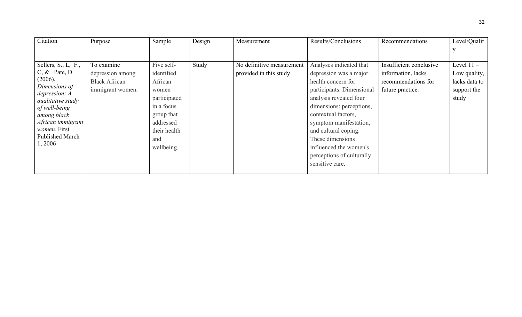| Citation                       | Purpose              | Sample       | Design | Measurement               | Results/Conclusions       | Recommendations         | Level/Qualit  |
|--------------------------------|----------------------|--------------|--------|---------------------------|---------------------------|-------------------------|---------------|
|                                |                      |              |        |                           |                           |                         |               |
| Sellers, S., L, F.,            | To examine           | Five self-   | Study  | No definitive measurement | Analyses indicated that   | Insufficient conclusive | Level $11 -$  |
| $C, \&$ Pate, D.               | depression among     | identified   |        | provided in this study    | depression was a major    | information, lacks      | Low quality,  |
| (2006).                        | <b>Black African</b> | African      |        |                           | health concern for        | recommendations for     | lacks data to |
| Dimensions of<br>depression: A | immigrant women.     | women        |        |                           | participants. Dimensional | future practice.        | support the   |
| qualitative study              |                      | participated |        |                           | analysis revealed four    |                         | study         |
| of well-being                  |                      | in a focus   |        |                           | dimensions: perceptions,  |                         |               |
| among black                    |                      | group that   |        |                           | contextual factors,       |                         |               |
| African immigrant              |                      | addressed    |        |                           | symptom manifestation,    |                         |               |
| women. First                   |                      | their health |        |                           | and cultural coping.      |                         |               |
| <b>Published March</b>         |                      | and          |        |                           | These dimensions          |                         |               |
| 1,2006                         |                      | wellbeing.   |        |                           | influenced the women's    |                         |               |
|                                |                      |              |        |                           | perceptions of culturally |                         |               |
|                                |                      |              |        |                           | sensitive care.           |                         |               |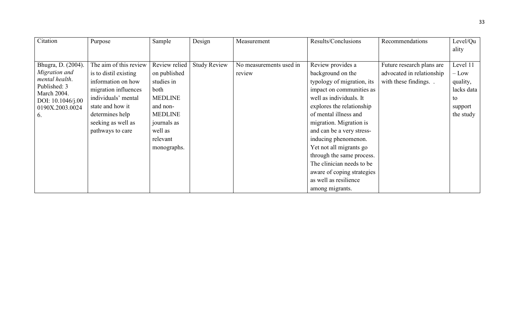| Citation                    | Purpose                | Sample         | Design              | Measurement             | Results/Conclusions        | Recommendations           | Level/Qu   |
|-----------------------------|------------------------|----------------|---------------------|-------------------------|----------------------------|---------------------------|------------|
|                             |                        |                |                     |                         |                            |                           | ality      |
|                             |                        |                |                     |                         |                            |                           |            |
| Bhugra, D. (2004).          | The aim of this review | Review relied  | <b>Study Review</b> | No measurements used in | Review provides a          | Future research plans are | Level 11   |
| Migration and               | is to distil existing  | on published   |                     | review                  | background on the          | advocated in relationship | $-Low$     |
| mental health.              | information on how     | studies in     |                     |                         | typology of migration, its | with these findings       | quality,   |
| Published: 3<br>March 2004. | migration influences   | both           |                     |                         | impact on communities as   |                           | lacks data |
| DOI: $10.1046/j.00$         | individuals' mental    | <b>MEDLINE</b> |                     |                         | well as individuals. It    |                           | to         |
| 0190X.2003.0024             | state and how it       | and non-       |                     |                         | explores the relationship  |                           | support    |
| 6.                          | determines help        | <b>MEDLINE</b> |                     |                         | of mental illness and      |                           | the study  |
|                             | seeking as well as     | journals as    |                     |                         | migration. Migration is    |                           |            |
|                             | pathways to care       | well as        |                     |                         | and can be a very stress-  |                           |            |
|                             |                        | relevant       |                     |                         | inducing phenomenon.       |                           |            |
|                             |                        | monographs.    |                     |                         | Yet not all migrants go    |                           |            |
|                             |                        |                |                     |                         | through the same process.  |                           |            |
|                             |                        |                |                     |                         | The clinician needs to be  |                           |            |
|                             |                        |                |                     |                         | aware of coping strategies |                           |            |
|                             |                        |                |                     |                         | as well as resilience      |                           |            |
|                             |                        |                |                     |                         | among migrants.            |                           |            |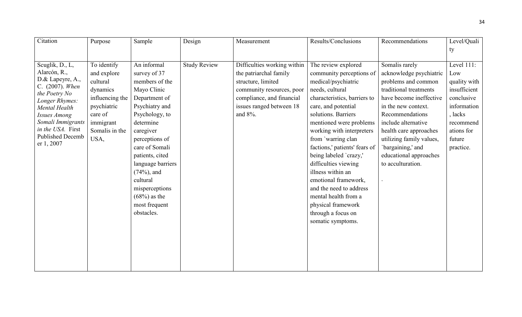| Citation                              | Purpose         | Sample            | Design              | Measurement                 | Results/Conclusions           | Recommendations          | Level/Quali  |
|---------------------------------------|-----------------|-------------------|---------------------|-----------------------------|-------------------------------|--------------------------|--------------|
|                                       |                 |                   |                     |                             |                               |                          | ty           |
|                                       |                 |                   |                     |                             |                               |                          |              |
| Scuglik, D., L,                       | To identify     | An informal       | <b>Study Review</b> | Difficulties working within | The review explored           | Somalis rarely           | Level 111:   |
| Alarcón, R.,                          | and explore     | survey of 37      |                     | the patriarchal family      | community perceptions of      | acknowledge psychiatric  | Low          |
| D.& Lapeyre, A.,<br>C. (2007). When   | cultural        | members of the    |                     | structure, limited          | medical/psychiatric           | problems and common      | quality with |
| the Poetry No                         | dynamics        | Mayo Clinic       |                     | community resources, poor   | needs, cultural               | traditional treatments   | insufficient |
| Longer Rhymes:                        | influencing the | Department of     |                     | compliance, and financial   | characteristics, barriers to  | have become ineffective  | conclusive   |
| Mental Health                         | psychiatric     | Psychiatry and    |                     | issues ranged between 18    | care, and potential           | in the new context.      | information  |
| Issues Among                          | care of         | Psychology, to    |                     | and 8%.                     | solutions. Barriers           | Recommendations          | , lacks      |
| Somali Immigrants                     | immigrant       | determine         |                     |                             | mentioned were problems       | include alternative      | recommend    |
| in the USA. First                     | Somalis in the  | caregiver         |                     |                             | working with interpreters     | health care approaches   | ations for   |
| <b>Published Decemb</b><br>er 1, 2007 | USA,            | perceptions of    |                     |                             | from 'warring clan            | utilizing family values, | future       |
|                                       |                 | care of Somali    |                     |                             | factions,' patients' fears of | bargaining,' and         | practice.    |
|                                       |                 | patients, cited   |                     |                             | being labeled 'crazy,'        | educational approaches   |              |
|                                       |                 | language barriers |                     |                             | difficulties viewing          | to acculturation.        |              |
|                                       |                 | $(74%)$ , and     |                     |                             | illness within an             |                          |              |
|                                       |                 | cultural          |                     |                             | emotional framework,          |                          |              |
|                                       |                 | misperceptions    |                     |                             | and the need to address       |                          |              |
|                                       |                 | $(68\%)$ as the   |                     |                             | mental health from a          |                          |              |
|                                       |                 | most frequent     |                     |                             | physical framework            |                          |              |
|                                       |                 | obstacles.        |                     |                             | through a focus on            |                          |              |
|                                       |                 |                   |                     |                             | somatic symptoms.             |                          |              |
|                                       |                 |                   |                     |                             |                               |                          |              |
|                                       |                 |                   |                     |                             |                               |                          |              |
|                                       |                 |                   |                     |                             |                               |                          |              |
|                                       |                 |                   |                     |                             |                               |                          |              |
|                                       |                 |                   |                     |                             |                               |                          |              |
|                                       |                 |                   |                     |                             |                               |                          |              |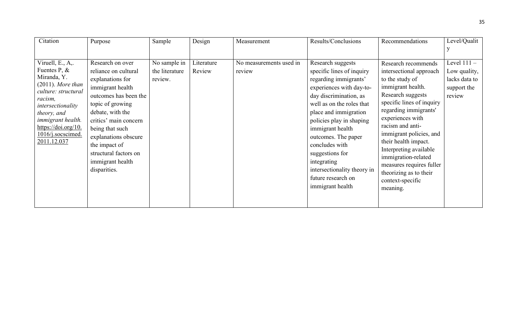| Citation                                                                                                                                                                                                                         | Purpose                                                                                                                                                                                                                                                                                             | Sample                                    | Design               | Measurement                       | Results/Conclusions                                                                                                                                                                                                                                                                                                                                                                     | Recommendations                                                                                                                                                                                                                                                                                                                                                                                     | Level/Qualit                                                            |
|----------------------------------------------------------------------------------------------------------------------------------------------------------------------------------------------------------------------------------|-----------------------------------------------------------------------------------------------------------------------------------------------------------------------------------------------------------------------------------------------------------------------------------------------------|-------------------------------------------|----------------------|-----------------------------------|-----------------------------------------------------------------------------------------------------------------------------------------------------------------------------------------------------------------------------------------------------------------------------------------------------------------------------------------------------------------------------------------|-----------------------------------------------------------------------------------------------------------------------------------------------------------------------------------------------------------------------------------------------------------------------------------------------------------------------------------------------------------------------------------------------------|-------------------------------------------------------------------------|
|                                                                                                                                                                                                                                  |                                                                                                                                                                                                                                                                                                     |                                           |                      |                                   |                                                                                                                                                                                                                                                                                                                                                                                         |                                                                                                                                                                                                                                                                                                                                                                                                     |                                                                         |
| Viruell, E., A,.<br>Fuentes P, $\&$<br>Miranda, Y.<br>$(2011)$ . More than<br>culture: structural<br>racism,<br>intersectionality<br>theory, and<br>immigrant health.<br>https://doi.org/10.<br>1016/j.socscimed.<br>2011.12.037 | Research on over<br>reliance on cultural<br>explanations for<br>immigrant health<br>outcomes has been the<br>topic of growing<br>debate, with the<br>critics' main concern<br>being that such<br>explanations obscure<br>the impact of<br>structural factors on<br>immigrant health<br>disparities. | No sample in<br>the literature<br>review. | Literature<br>Review | No measurements used in<br>review | Research suggests<br>specific lines of inquiry<br>regarding immigrants'<br>experiences with day-to-<br>day discrimination, as<br>well as on the roles that<br>place and immigration<br>policies play in shaping<br>immigrant health<br>outcomes. The paper<br>concludes with<br>suggestions for<br>integrating<br>intersectionality theory in<br>future research on<br>immigrant health | Research recommends<br>intersectional approach<br>to the study of<br>immigrant health.<br>Research suggests<br>specific lines of inquiry<br>regarding immigrants'<br>experiences with<br>racism and anti-<br>immigrant policies, and<br>their health impact.<br>Interpreting available<br>immigration-related<br>measures requires fuller<br>theorizing as to their<br>context-specific<br>meaning. | Level $111 -$<br>Low quality,<br>lacks data to<br>support the<br>review |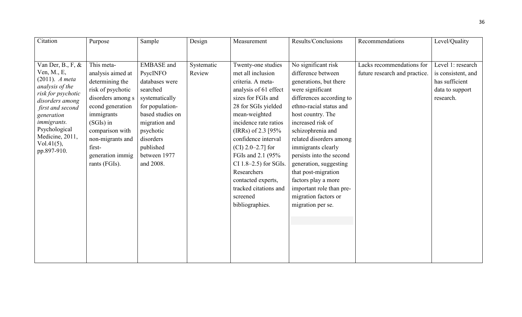| Citation                         | Purpose           | Sample            | Design     | Measurement              | Results/Conclusions      | Recommendations               | Level/Quality      |
|----------------------------------|-------------------|-------------------|------------|--------------------------|--------------------------|-------------------------------|--------------------|
|                                  |                   |                   |            |                          |                          |                               |                    |
|                                  |                   |                   |            |                          |                          |                               |                    |
| Van Der, B., F, $\&$             | This meta-        | <b>EMBASE</b> and | Systematic | Twenty-one studies       | No significant risk      | Lacks recommendations for     | Level 1: research  |
| Ven, M., E,<br>$(2011)$ . A meta | analysis aimed at | PsycINFO          | Review     | met all inclusion        | difference between       | future research and practice. | is consistent, and |
| analysis of the                  | determining the   | databases were    |            | criteria. A meta-        | generations, but there   |                               | has sufficient     |
| risk for psychotic               | risk of psychotic | searched          |            | analysis of 61 effect    | were significant         |                               | data to support    |
| disorders among                  | disorders among s | systematically    |            | sizes for FGIs and       | differences according to |                               | research.          |
| first and second                 | econd generation  | for population-   |            | 28 for SGIs yielded      | ethno-racial status and  |                               |                    |
| generation                       | immigrants        | based studies on  |            | mean-weighted            | host country. The        |                               |                    |
| <i>immigrants.</i>               | $(SGIs)$ in       | migration and     |            | incidence rate ratios    | increased risk of        |                               |                    |
| Psychological                    | comparison with   | psychotic         |            | (IRRs) of 2.3 $[95%$     | schizophrenia and        |                               |                    |
| Medicine, 2011,<br>$Vol.41(5)$ , | non-migrants and  | disorders         |            | confidence interval      | related disorders among  |                               |                    |
| pp.897-910.                      | first-            | published         |            | $ CI $ 2.0–2.7] for      | immigrants clearly       |                               |                    |
|                                  | generation immig  | between 1977      |            | FGIs and 2.1 (95%        | persists into the second |                               |                    |
|                                  | rants (FGIs).     | and 2008.         |            | CI $1.8-2.5$ ) for SGIs. | generation, suggesting   |                               |                    |
|                                  |                   |                   |            | Researchers              | that post-migration      |                               |                    |
|                                  |                   |                   |            | contacted experts,       | factors play a more      |                               |                    |
|                                  |                   |                   |            | tracked citations and    | important role than pre- |                               |                    |
|                                  |                   |                   |            | screened                 | migration factors or     |                               |                    |
|                                  |                   |                   |            | bibliographies.          | migration per se.        |                               |                    |
|                                  |                   |                   |            |                          |                          |                               |                    |
|                                  |                   |                   |            |                          |                          |                               |                    |
|                                  |                   |                   |            |                          |                          |                               |                    |
|                                  |                   |                   |            |                          |                          |                               |                    |
|                                  |                   |                   |            |                          |                          |                               |                    |
|                                  |                   |                   |            |                          |                          |                               |                    |
|                                  |                   |                   |            |                          |                          |                               |                    |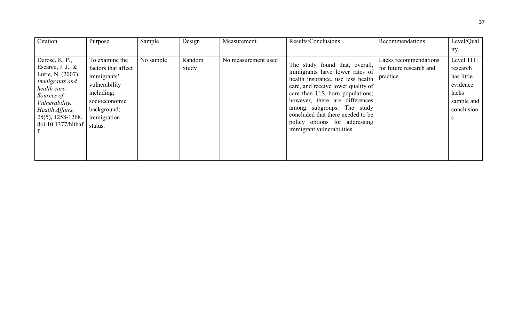| Citation                                                                                                                                                                                       | Purpose                                                                                                                                       | Sample    | Design          | Measurement         | Results/Conclusions                                                                                                                                                                                                                                                                                                                                 | Recommendations                                              | Level/Qual                                                                                    |
|------------------------------------------------------------------------------------------------------------------------------------------------------------------------------------------------|-----------------------------------------------------------------------------------------------------------------------------------------------|-----------|-----------------|---------------------|-----------------------------------------------------------------------------------------------------------------------------------------------------------------------------------------------------------------------------------------------------------------------------------------------------------------------------------------------------|--------------------------------------------------------------|-----------------------------------------------------------------------------------------------|
|                                                                                                                                                                                                |                                                                                                                                               |           |                 |                     |                                                                                                                                                                                                                                                                                                                                                     |                                                              | ity                                                                                           |
| Derose, K. P.,<br>Escarce, J. J., $\&$<br>Lurie, N. (2007).<br>Immigrants and<br>health care:<br>Sources of<br>Vulnerability.<br>Health Affairs,<br>$26(5)$ , 1258-1268.<br>doi:10.1377/hlthaf | To examine the<br>factors that affect<br>immigrants'<br>vulnerability<br>including;<br>socioeconomic<br>background;<br>immigration<br>status. | No sample | Random<br>Study | No measurement used | The study found that, overall,<br>immigrants have lower rates of<br>health insurance, use less health<br>care, and receive lower quality of<br>care than U.S.-born populations;<br>however, there are differences<br>among subgroups. The study<br>concluded that there needed to be<br>policy options for addressing<br>immigrant vulnerabilities. | Lacks recommendations<br>for future research and<br>practice | Level $111$ :<br>research<br>has little<br>evidence<br>lacks<br>sample and<br>conclusion<br>S |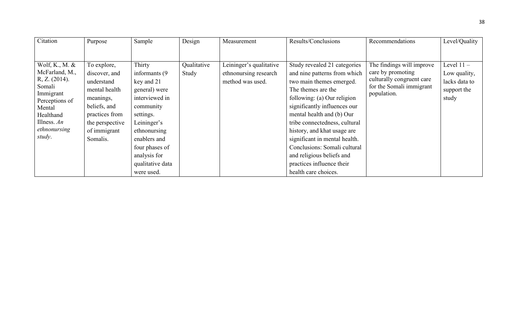| Citation                                                                                                                                                       | Purpose                                                                                                                                                   | Sample                                                                                                                                                                                                                 | Design               | Measurement                                                          | Results/Conclusions                                                                                                                                                                                                                                                                                                                                                                                                           | Recommendations                                                                                                        | Level/Quality                                                         |
|----------------------------------------------------------------------------------------------------------------------------------------------------------------|-----------------------------------------------------------------------------------------------------------------------------------------------------------|------------------------------------------------------------------------------------------------------------------------------------------------------------------------------------------------------------------------|----------------------|----------------------------------------------------------------------|-------------------------------------------------------------------------------------------------------------------------------------------------------------------------------------------------------------------------------------------------------------------------------------------------------------------------------------------------------------------------------------------------------------------------------|------------------------------------------------------------------------------------------------------------------------|-----------------------------------------------------------------------|
|                                                                                                                                                                |                                                                                                                                                           |                                                                                                                                                                                                                        |                      |                                                                      |                                                                                                                                                                                                                                                                                                                                                                                                                               |                                                                                                                        |                                                                       |
| Wolf, K., M. $&$<br>McFarland, M.,<br>R, Z. (2014).<br>Somali<br>Immigrant<br>Perceptions of<br>Mental<br>Healthand<br>Illness. $An$<br>ethnonursing<br>study. | To explore,<br>discover, and<br>understand<br>mental health<br>meanings,<br>beliefs, and<br>practices from<br>the perspective<br>of immigrant<br>Somalis. | Thirty<br>informants (9)<br>key and 21<br>general) were<br>interviewed in<br>community<br>settings.<br>Leininger's<br>ethnonursing<br>enablers and<br>four phases of<br>analysis for<br>qualitative data<br>were used. | Qualitative<br>Study | Leininger's qualitative<br>ethnonursing research<br>method was used. | Study revealed 21 categories<br>and nine patterns from which<br>two main themes emerged.<br>The themes are the<br>following: (a) Our religion<br>significantly influences our<br>mental health and (b) Our<br>tribe connectedness, cultural<br>history, and khat usage are<br>significant in mental health.<br>Conclusions: Somali cultural<br>and religious beliefs and<br>practices influence their<br>health care choices. | The findings will improve<br>care by promoting<br>culturally congruent care<br>for the Somali immigrant<br>population. | Level $11 -$<br>Low quality,<br>lacks data to<br>support the<br>study |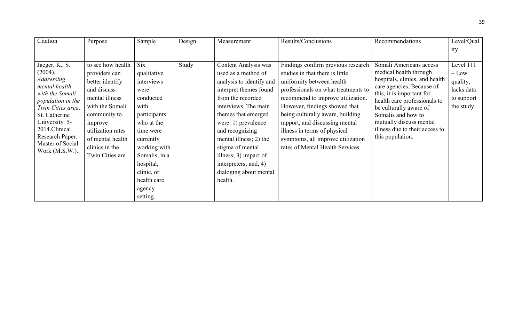| Citation                            | Purpose           | Sample        | Design | Measurement              | Results/Conclusions                 | Recommendations                                             | Level/Qual |
|-------------------------------------|-------------------|---------------|--------|--------------------------|-------------------------------------|-------------------------------------------------------------|------------|
|                                     |                   |               |        |                          |                                     |                                                             | ity        |
|                                     |                   |               |        |                          |                                     |                                                             |            |
| Jaeger, K., S.                      | to see how health | <b>Six</b>    | Study  | Content Analysis was     | Findings confirm previous research  | Somali Americans access                                     | Level 111  |
| (2004).                             | providers can     | qualitative   |        | used as a method of      | studies in that there is little     | medical health through                                      | $-$ Low    |
| <b>Addressing</b><br>mental health  | better identify   | interviews    |        | analysis to identify and | uniformity between health           | hospitals, clinics, and health<br>care agencies. Because of | quality,   |
| with the Somali                     | and discuss       | were          |        | interpret themes found   | professionals on what treatments to | this, it is important for                                   | lacks data |
| population in the                   | mental illness    | conducted     |        | from the recorded        | recommend to improve utilization.   | health care professionals to                                | to support |
| Twin Cities area.                   | with the Somali   | with          |        | interviews. The main     | However, findings showed that       | be culturally aware of                                      | the study  |
| St. Catherine                       | community to      | participants  |        | themes that emerged      | being culturally aware, building    | Somalis and how to                                          |            |
| University. 5-                      | improve           | who at the    |        | were: 1) prevalence      | rapport, and discussing mental      | mutually discuss mental                                     |            |
| 2014.Clinical                       | utilization rates | time were     |        | and recognizing          | illness in terms of physical        | illness due to their access to                              |            |
| Research Paper.<br>Master of Social | of mental health  | currently     |        | mental illness; 2) the   | symptoms, all improve utilization   | this population.                                            |            |
| Work $(M.S.W.)$ .                   | clinics in the    | working with  |        | stigma of mental         | rates of Mental Health Services.    |                                                             |            |
|                                     | Twin Cities are   | Somalis, in a |        | illness; 3) impact of    |                                     |                                                             |            |
|                                     |                   | hospital,     |        | interpreters; and, 4)    |                                     |                                                             |            |
|                                     |                   | clinic, or    |        | dialoging about mental   |                                     |                                                             |            |
|                                     |                   | health care   |        | health.                  |                                     |                                                             |            |
|                                     |                   | agency        |        |                          |                                     |                                                             |            |
|                                     |                   | setting.      |        |                          |                                     |                                                             |            |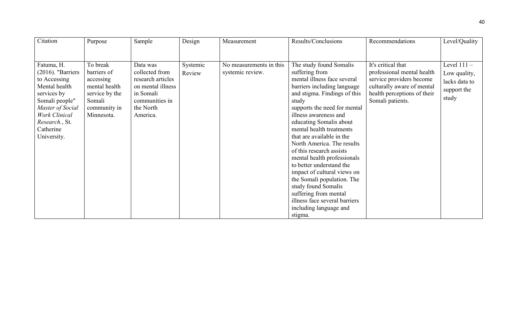| Citation                                                                                                                                                                                       | Purpose                                                                                                         | Sample                                                                                                                       | Design             | Measurement                                 | Results/Conclusions                                                                                                                                                                                                                                                                                                                                                                                                                                                                                                                                                                                   | Recommendations                                                                                                                                               | Level/Quality                                                          |
|------------------------------------------------------------------------------------------------------------------------------------------------------------------------------------------------|-----------------------------------------------------------------------------------------------------------------|------------------------------------------------------------------------------------------------------------------------------|--------------------|---------------------------------------------|-------------------------------------------------------------------------------------------------------------------------------------------------------------------------------------------------------------------------------------------------------------------------------------------------------------------------------------------------------------------------------------------------------------------------------------------------------------------------------------------------------------------------------------------------------------------------------------------------------|---------------------------------------------------------------------------------------------------------------------------------------------------------------|------------------------------------------------------------------------|
|                                                                                                                                                                                                |                                                                                                                 |                                                                                                                              |                    |                                             |                                                                                                                                                                                                                                                                                                                                                                                                                                                                                                                                                                                                       |                                                                                                                                                               |                                                                        |
| Fatuma, H.<br>$(2016)$ . "Barriers<br>to Accessing<br>Mental health<br>services by<br>Somali people"<br>Master of Social<br><b>Work Clinical</b><br>Research., St.<br>Catherine<br>University. | To break<br>barriers of<br>accessing<br>mental health<br>service by the<br>Somali<br>community in<br>Minnesota. | Data was<br>collected from<br>research articles<br>on mental illness<br>in Somali<br>communities in<br>the North<br>America. | Systemic<br>Review | No measurements in this<br>systemic review. | The study found Somalis<br>suffering from<br>mental illness face several<br>barriers including language<br>and stigma. Findings of this<br>study<br>supports the need for mental<br>illness awareness and<br>educating Somalis about<br>mental health treatments<br>that are available in the<br>North America. The results<br>of this research assists<br>mental health professionals<br>to better understand the<br>impact of cultural views on<br>the Somali population. The<br>study found Somalis<br>suffering from mental<br>illness face several barriers<br>including language and<br>stigma. | It's critical that<br>professional mental health<br>service providers become<br>culturally aware of mental<br>health perceptions of their<br>Somali patients. | Level $111 -$<br>Low quality,<br>lacks data to<br>support the<br>study |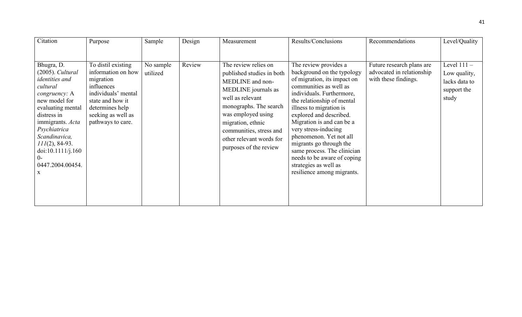| Citation                                                                                                                                                                                                                                                                    | Purpose                                                                                                                                                                      | Sample                | Design | Measurement                                                                                                                                                                                                                                                            | Results/Conclusions                                                                                                                                                                                                                                                                                                                                                                                                                                           | Recommendations                                                                | Level/Quality                                                          |
|-----------------------------------------------------------------------------------------------------------------------------------------------------------------------------------------------------------------------------------------------------------------------------|------------------------------------------------------------------------------------------------------------------------------------------------------------------------------|-----------------------|--------|------------------------------------------------------------------------------------------------------------------------------------------------------------------------------------------------------------------------------------------------------------------------|---------------------------------------------------------------------------------------------------------------------------------------------------------------------------------------------------------------------------------------------------------------------------------------------------------------------------------------------------------------------------------------------------------------------------------------------------------------|--------------------------------------------------------------------------------|------------------------------------------------------------------------|
| Bhugra, D.<br>(2005). Cultural<br><i>identities and</i><br>cultural<br>congruency: A<br>new model for<br>evaluating mental<br>distress in<br>immigrants. Acta<br>Psychiatrica<br>Scandinavica,<br>$111(2)$ , 84-93.<br>doi:10.1111/j.160<br>$()$ -<br>0447.2004.00454.<br>X | To distil existing<br>information on how<br>migration<br>influences<br>individuals' mental<br>state and how it<br>determines help<br>seeking as well as<br>pathways to care. | No sample<br>utilized | Review | The review relies on<br>published studies in both<br>MEDLINE and non-<br>MEDLINE journals as<br>well as relevant<br>monographs. The search<br>was employed using<br>migration, ethnic<br>communities, stress and<br>other relevant words for<br>purposes of the review | The review provides a<br>background on the typology<br>of migration, its impact on<br>communities as well as<br>individuals. Furthermore,<br>the relationship of mental<br>illness to migration is<br>explored and described.<br>Migration is and can be a<br>very stress-inducing<br>phenomenon. Yet not all<br>migrants go through the<br>same process. The clinician<br>needs to be aware of coping<br>strategies as well as<br>resilience among migrants. | Future research plans are<br>advocated in relationship<br>with these findings. | Level $111 -$<br>Low quality,<br>lacks data to<br>support the<br>study |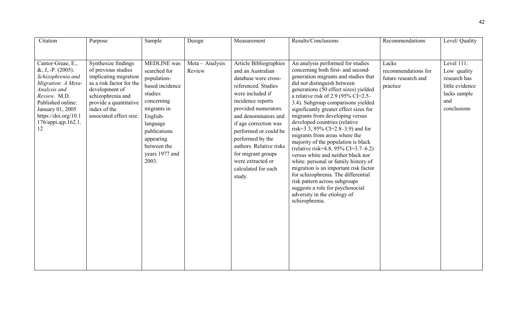| Citation                                                                                                                                                                                                          | Purpose                                                                                                                                                                                                     | Sample                                                                                                                                                                                                      | Design                    | Measurement                                                                                                                                                                                                                                                                                                                                                            | Results/Conclusions                                                                                                                                                                                                                                                                                                                                                                                                                                                                                                                                                                                                                                                                                                                                                                                                         | Recommendations                                                 | Level/ Quality                                                                                     |
|-------------------------------------------------------------------------------------------------------------------------------------------------------------------------------------------------------------------|-------------------------------------------------------------------------------------------------------------------------------------------------------------------------------------------------------------|-------------------------------------------------------------------------------------------------------------------------------------------------------------------------------------------------------------|---------------------------|------------------------------------------------------------------------------------------------------------------------------------------------------------------------------------------------------------------------------------------------------------------------------------------------------------------------------------------------------------------------|-----------------------------------------------------------------------------------------------------------------------------------------------------------------------------------------------------------------------------------------------------------------------------------------------------------------------------------------------------------------------------------------------------------------------------------------------------------------------------------------------------------------------------------------------------------------------------------------------------------------------------------------------------------------------------------------------------------------------------------------------------------------------------------------------------------------------------|-----------------------------------------------------------------|----------------------------------------------------------------------------------------------------|
| Cantor-Graae, E.,<br>$&, J, -P. (2005).$<br>Schizophrenia and<br>Migration: A Meta-<br>Analysis and<br>Review. M.D.<br>Published online:<br>January 01, 2005<br>https://doi.org/10.1<br>176/appi.ajp.162.1.<br>12 | Synthesize findings<br>of previous studies<br>implicating migration<br>as a risk factor for the<br>development of<br>schizophrenia and<br>provide a quantitative<br>index of the<br>associated effect size. | <b>MEDLINE</b> was<br>searched for<br>population-<br>based incidence<br>studies<br>concerning<br>migrants in<br>English-<br>language<br>publications<br>appearing<br>between the<br>years 1977 and<br>2003. | Meta - Analysis<br>Review | <b>Article Bibliographies</b><br>and an Australian<br>database were cross-<br>referenced. Studies<br>were included if<br>incidence reports<br>provided numerators<br>and denominators and<br>if age correction was<br>performed or could be<br>performed by the<br>authors. Relative risks<br>for migrant groups<br>were extracted or<br>calculated for each<br>study. | An analysis performed for studies<br>concerning both first- and second-<br>generation migrants and studies that<br>did not distinguish between<br>generations (50 effect sizes) yielded<br>a relative risk of 2.9 (95% CI=2.5–<br>3.4). Subgroup comparisons yielded<br>significantly greater effect sizes for<br>migrants from developing versus<br>developed countries (relative<br>risk=3.3, 95% CI=2.8–3.9) and for<br>migrants from areas where the<br>majority of the population is black<br>(relative risk=4.8, 95% CI=3.7–6.2)<br>versus white and neither black nor<br>white. personal or family history of<br>migration is an important risk factor<br>for schizophrenia. The differential<br>risk pattern across subgroups<br>suggests a role for psychosocial<br>adversity in the etiology of<br>schizophrenia. | Lacks<br>recommendations for<br>future research and<br>practice | Level 111:<br>Low quality<br>research has<br>little evidence<br>lacks sample<br>and<br>conclusions |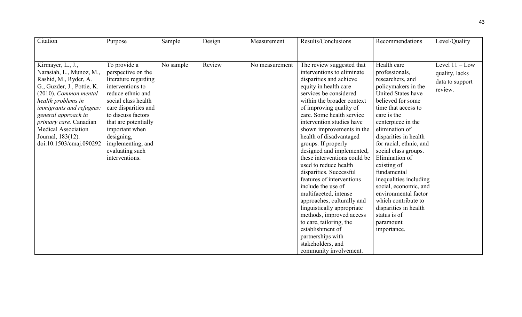| Citation                   | Purpose              | Sample    | Design | Measurement    | Results/Conclusions          | Recommendations         | Level/Quality    |
|----------------------------|----------------------|-----------|--------|----------------|------------------------------|-------------------------|------------------|
|                            |                      |           |        |                |                              |                         |                  |
|                            |                      |           |        |                |                              |                         |                  |
| Kirmayer, L., J.,          | To provide a         | No sample | Review | No measurement | The review suggested that    | Health care             | Level $11 - Low$ |
| Narasiah, L., Munoz, M.,   | perspective on the   |           |        |                | interventions to eliminate   | professionals,          | quality, lacks   |
| Rashid, M., Ryder, A.      | literature regarding |           |        |                | disparities and achieve      | researchers, and        |                  |
| G., Guzder, J., Pottie, K. | interventions to     |           |        |                | equity in health care        | policymakers in the     | data to support  |
| $(2010)$ . Common mental   | reduce ethnic and    |           |        |                | services be considered       | United States have      | review.          |
| health problems in         | social class health  |           |        |                | within the broader context   | believed for some       |                  |
| immigrants and refugees:   | care disparities and |           |        |                | of improving quality of      | time that access to     |                  |
| general approach in        | to discuss factors   |           |        |                | care. Some health service    | care is the             |                  |
| primary care. Canadian     | that are potentially |           |        |                | intervention studies have    | centerpiece in the      |                  |
| <b>Medical Association</b> | important when       |           |        |                | shown improvements in the    | elimination of          |                  |
| Journal, 183(12).          | designing,           |           |        |                | health of disadvantaged      | disparities in health   |                  |
| doi:10.1503/cmaj.090292    | implementing, and    |           |        |                | groups. If properly          | for racial, ethnic, and |                  |
|                            | evaluating such      |           |        |                | designed and implemented,    | social class groups.    |                  |
|                            | interventions.       |           |        |                | these interventions could be | Elimination of          |                  |
|                            |                      |           |        |                | used to reduce health        | existing of             |                  |
|                            |                      |           |        |                | disparities. Successful      | fundamental             |                  |
|                            |                      |           |        |                | features of interventions    | inequalities including  |                  |
|                            |                      |           |        |                | include the use of           | social, economic, and   |                  |
|                            |                      |           |        |                | multifaceted, intense        | environmental factor    |                  |
|                            |                      |           |        |                | approaches, culturally and   | which contribute to     |                  |
|                            |                      |           |        |                | linguistically appropriate   | disparities in health   |                  |
|                            |                      |           |        |                | methods, improved access     | status is of            |                  |
|                            |                      |           |        |                | to care, tailoring, the      | paramount               |                  |
|                            |                      |           |        |                | establishment of             | importance.             |                  |
|                            |                      |           |        |                | partnerships with            |                         |                  |
|                            |                      |           |        |                | stakeholders, and            |                         |                  |
|                            |                      |           |        |                | community involvement.       |                         |                  |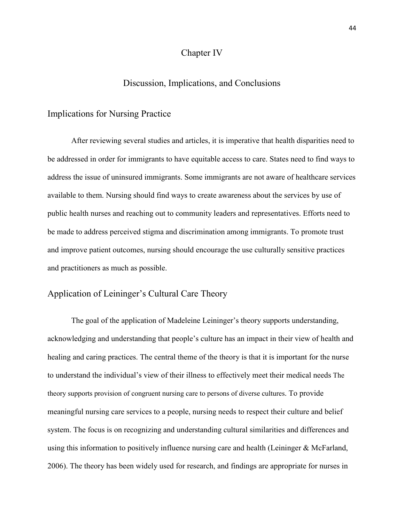### Chapter IV

## Discussion, Implications, and Conclusions

#### Implications for Nursing Practice

After reviewing several studies and articles, it is imperative that health disparities need to be addressed in order for immigrants to have equitable access to care. States need to find ways to address the issue of uninsured immigrants. Some immigrants are not aware of healthcare services available to them. Nursing should find ways to create awareness about the services by use of public health nurses and reaching out to community leaders and representatives. Efforts need to be made to address perceived stigma and discrimination among immigrants. To promote trust and improve patient outcomes, nursing should encourage the use culturally sensitive practices and practitioners as much as possible.

## Application of Leininger's Cultural Care Theory

The goal of the application of Madeleine Leininger's theory supports understanding, acknowledging and understanding that people's culture has an impact in their view of health and healing and caring practices. The central theme of the theory is that it is important for the nurse to understand the individual's view of their illness to effectively meet their medical needs The theory supports provision of congruent nursing care to persons of diverse cultures. To provide meaningful nursing care services to a people, nursing needs to respect their culture and belief system. The focus is on recognizing and understanding cultural similarities and differences and using this information to positively influence nursing care and health (Leininger & McFarland, 2006). The theory has been widely used for research, and findings are appropriate for nurses in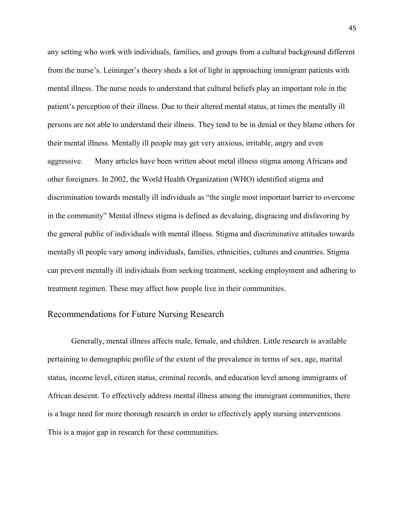any setting who work with individuals, families, and groups from a cultural background different from the nurse's. Leininger's theory sheds a lot of light in approaching immigrant patients with mental illness. The nurse needs to understand that cultural beliefs play an important role in the patient's perception of their illness. Due to their altered mental status, at times the mentally ill persons are not able to understand their illness. They tend to be in denial or they blame others for their mental illness. Mentally ill people may get very anxious, irritable, angry and even aggressive. Many articles have been written about metal illness stigma among Africans and other foreigners. In 2002, the World Health Organization (WHO) identified stigma and discrimination towards mentally ill individuals as "the single most important barrier to overcome in the community" Mental illness stigma is defined as devaluing, disgracing and disfavoring by the general public of individuals with mental illness. Stigma and discriminative attitudes towards mentally ill people vary among individuals, families, ethnicities, cultures and countries. Stigma can prevent mentally ill individuals from seeking treatment, seeking employment and adhering to treatment regimen. These may affect how people live in their communities.

## Recommendations for Future Nursing Research

Generally, mental illness affects male, female, and children. Little research is available pertaining to demographic profile of the extent of the prevalence in terms of sex, age, marital status, income level, citizen status, criminal records, and education level among immigrants of African descent. To effectively address mental illness among the immigrant communities, there is a huge need for more thorough research in order to effectively apply nursing interventions. This is a major gap in research for these communities.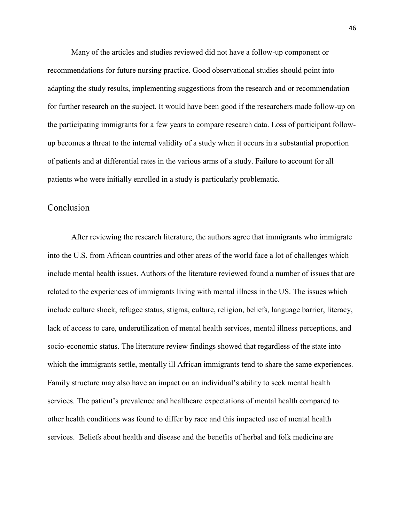Many of the articles and studies reviewed did not have a follow-up component or recommendations for future nursing practice. Good observational studies should point into adapting the study results, implementing suggestions from the research and or recommendation for further research on the subject. It would have been good if the researchers made follow-up on the participating immigrants for a few years to compare research data. Loss of participant followup becomes a threat to the internal validity of a study when it occurs in a substantial proportion of patients and at differential rates in the various arms of a study. Failure to account for all patients who were initially enrolled in a study is particularly problematic.

## Conclusion

After reviewing the research literature, the authors agree that immigrants who immigrate into the U.S. from African countries and other areas of the world face a lot of challenges which include mental health issues. Authors of the literature reviewed found a number of issues that are related to the experiences of immigrants living with mental illness in the US. The issues which include culture shock, refugee status, stigma, culture, religion, beliefs, language barrier, literacy, lack of access to care, underutilization of mental health services, mental illness perceptions, and socio-economic status. The literature review findings showed that regardless of the state into which the immigrants settle, mentally ill African immigrants tend to share the same experiences. Family structure may also have an impact on an individual's ability to seek mental health services. The patient's prevalence and healthcare expectations of mental health compared to other health conditions was found to differ by race and this impacted use of mental health services. Beliefs about health and disease and the benefits of herbal and folk medicine are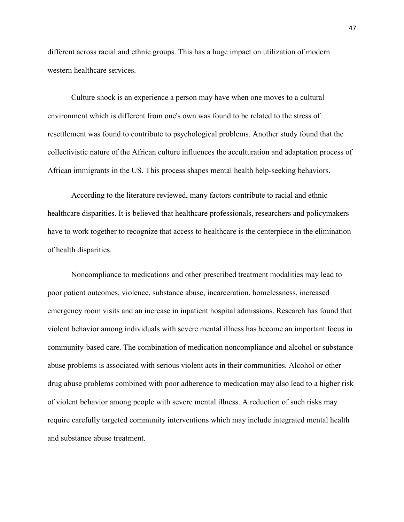different across racial and ethnic groups. This has a huge impact on utilization of modern western healthcare services.

Culture shock is an experience a person may have when one moves to a cultural environment which is different from one's own was found to be related to the stress of resettlement was found to contribute to psychological problems. Another study found that the collectivistic nature of the African culture influences the acculturation and adaptation process of African immigrants in the US. This process shapes mental health help-seeking behaviors.

According to the literature reviewed, many factors contribute to racial and ethnic healthcare disparities. It is believed that healthcare professionals, researchers and policymakers have to work together to recognize that access to healthcare is the centerpiece in the elimination of health disparities.

Noncompliance to medications and other prescribed treatment modalities may lead to poor patient outcomes, violence, substance abuse, incarceration, homelessness, increased emergency room visits and an increase in inpatient hospital admissions. Research has found that violent behavior among individuals with severe mental illness has become an important focus in community-based care. The combination of medication noncompliance and alcohol or substance abuse problems is associated with serious violent acts in their communities. Alcohol or other drug abuse problems combined with poor adherence to medication may also lead to a higher risk of violent behavior among people with severe mental illness. A reduction of such risks may require carefully targeted community interventions which may include integrated mental health and substance abuse treatment.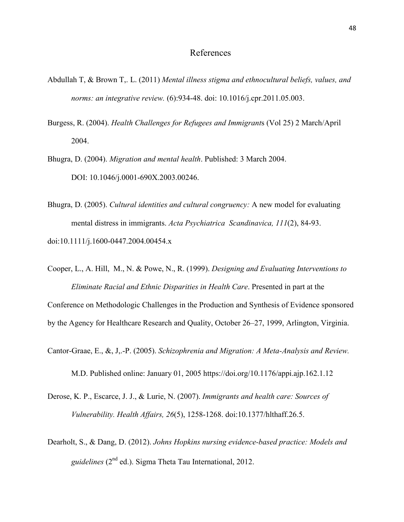### References

- [Abdullah T,](https://www.ncbi.nlm.nih.gov/pubmed/?term=Abdullah%20T%5BAuthor%5D&cauthor=true&cauthor_uid=21683671) & [Brown T,. L.](https://www.ncbi.nlm.nih.gov/pubmed/?term=Brown%20TL%5BAuthor%5D&cauthor=true&cauthor_uid=21683671) (2011) *Mental illness stigma and ethnocultural beliefs, values, and norms: an integrative review.* (6):934-48. doi: 10.1016/j.cpr.2011.05.003.
- Burgess, R. (2004). *Health Challenges for Refugees and Immigrant*s (Vol 25) 2 March/April 2004.
- Bhugra, D. (2004). *Migration and mental health*. Published: 3 March 2004. DOI: 10.1046/j.0001-690X.2003.00246.
- Bhugra, D. (2005). *Cultural identities and cultural congruency:* A new model for evaluating mental distress in immigrants. *Acta Psychiatrica Scandinavica, 111*(2), 84-93. doi:10.1111/j.1600-0447.2004.00454.x
- Cooper, L., A. Hill, M., N. & Powe, N., R. (1999). *Designing and Evaluating Interventions to Eliminate Racial and Ethnic Disparities in Health Care*. Presented in part at the

Conference on Methodologic Challenges in the Production and Synthesis of Evidence sponsored by the Agency for Healthcare Research and Quality, October 26–27, 1999, Arlington, Virginia.

[Cantor-Graae,](http://ajp.psychiatryonline.org/author/Cantor-Graae%2C+Elizabeth) E., &, J,.-P. (2005). *Schizophrenia and Migration: A Meta-Analysis and Review.*

M.D. Published online: January 01, 2005<https://doi.org/10.1176/appi.ajp.162.1.12>

- Derose, K. P., Escarce, J. J., & Lurie, N. (2007). *Immigrants and health care: Sources of Vulnerability. Health Affairs, 26*(5), 1258-1268. doi:10.1377/hlthaff.26.5.
- Dearholt, S., & Dang, D. (2012). *Johns Hopkins nursing evidence-based practice: Models and guidelines* (2nd ed.). Sigma Theta Tau International, 2012.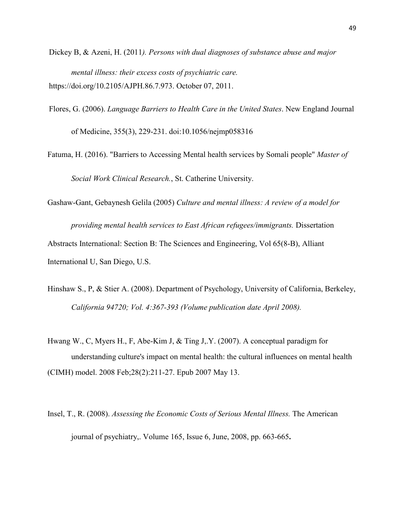- [Dickey](http://ajph.aphapublications.org/author/Dickey%2C+B) B, & [Azeni,](http://ajph.aphapublications.org/author/Azeni%2C+H) H. (2011*). Persons with dual diagnoses of substance abuse and major mental illness: their excess costs of psychiatric care.* [https://doi.org/10.2105/AJPH.86.7.973.](https://doi.org/10.2105/AJPH.86.7.973) October 07, 2011.
- Flores, G. (2006). *Language Barriers to Health Care in the United States*. New England Journal

of Medicine, 355(3), 229-231. doi:10.1056/nejmp058316

- Fatuma, H. (2016). "Barriers to Accessing Mental health services by Somali people" *Master of Social Work Clinical Research.*, St. Catherine University.
- [Gashaw-Gant, Gebaynesh Gelila](javascript:__doLinkPostBack() (2005) *Culture and mental illness: A review of a model for providing mental health services to East African refugees/immigrants.* [Dissertation](javascript:__doLinkPostBack()  [Abstracts International: Section B: The Sciences and Engineering,](javascript:__doLinkPostBack() Vol 65(8-B), Alliant International U, San Diego, U.S.
- Hinshaw S., P, & Stier A. (2008). Department of Psychology, University of California, Berkeley, *California 94720; Vol. 4:367-393 (Volume publication date April 2008).*
- [Hwang W., C,](https://www.ncbi.nlm.nih.gov/pubmed/?term=Hwang%20WC%5BAuthor%5D&cauthor=true&cauthor_uid=17587473) [Myers H., F,](https://www.ncbi.nlm.nih.gov/pubmed/?term=Myers%20HF%5BAuthor%5D&cauthor=true&cauthor_uid=17587473) [Abe-Kim J,](https://www.ncbi.nlm.nih.gov/pubmed/?term=Abe-Kim%20J%5BAuthor%5D&cauthor=true&cauthor_uid=17587473) & [Ting J,.Y.](https://www.ncbi.nlm.nih.gov/pubmed/?term=Ting%20JY%5BAuthor%5D&cauthor=true&cauthor_uid=17587473) (2007). A conceptual paradigm for understanding culture's impact on mental health: the cultural influences on mental health (CIMH) model. 2008 Feb;28(2):211-27. Epub 2007 May 13.
- Insel, T., R. (2008). *Assessing the Economic Costs of Serious Mental Illness.* The American journal of psychiatry,. [Volume 165, Issue 6, June, 2008,](http://ajp.psychiatryonline.org/toc/ajp/165/6) pp. 663-665**.**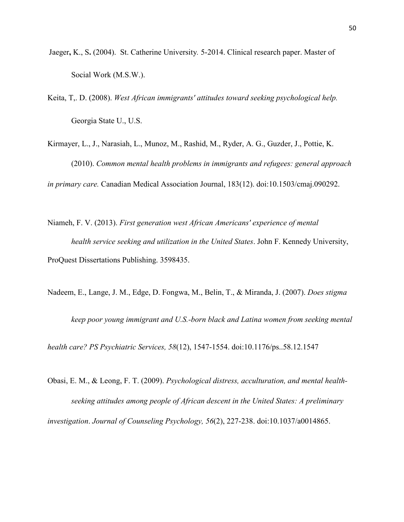- Jaeger**,** K., S**.** (2004). [St. Catherine University](http://sophia.stkate.edu/do/search/?q=author_lname%3A%22Jaeger%22%20author_fname%3A%22Kristopher%22&start=0&context=1580871)*.* 5-2014. Clinical research paper. Master of Social Work (M.S.W.).
- [Keita,](javascript:__doLinkPostBack() T,. D. (2008). *West African immigrants' attitudes toward seeking psychological help.* Georgia State U., U.S.
- Kirmayer, L., J., Narasiah, L., Munoz, M., Rashid, M., Ryder, A. G., Guzder, J., Pottie, K. (2010). *Common mental health problems in immigrants and refugees: general approach in primary care.* Canadian Medical Association Journal, 183(12). doi:10.1503/cmaj.090292.
- Niameh, F. V. (2013). *First generation west African Americans' experience of mental health service seeking and utilization in the United States*. John F. Kennedy University, ProQuest Dissertations Publishing. 3598435.
- Nadeem, E., Lange, J. M., Edge, D. Fongwa, M., Belin, T., & Miranda, J. (2007). *Does stigma*

*keep poor young immigrant and U.S.-born black and Latina women from seeking mental* 

*health care? PS Psychiatric Services, 58*(12), 1547-1554. doi:10.1176/ps..58.12.1547

Obasi, E. M., & Leong, F. T. (2009). *Psychological distress, acculturation, and mental health seeking attitudes among people of African descent in the United States: A preliminary investigation*. *Journal of Counseling Psychology, 56*(2), 227-238. doi:10.1037/a0014865.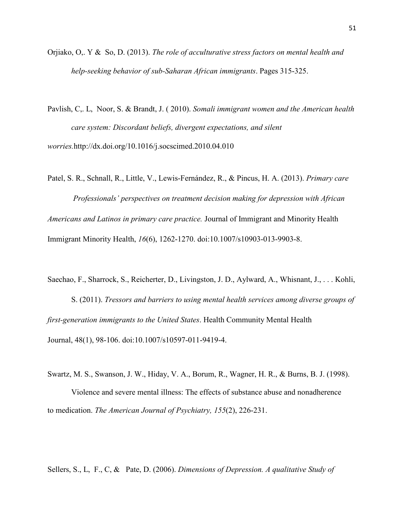Orjiako, O,. Y & [So,](http://www.tandfonline.com/author/So%2C+Dominicus) D. (2013). *The role of acculturative stress factors on mental health and help-seeking behavior of sub-Saharan African immigrants*. Pages 315-325.

[Pavlish,](http://www.sciencedirect.com/science/article/pii/S0277953610003199) C,. L, [Noor,](http://www.sciencedirect.com/science/article/pii/S0277953610003199) S. & [Brandt,](http://www.sciencedirect.com/science/article/pii/S0277953610003199) J. ( 2010). *Somali immigrant women and the American health care system: Discordant beliefs, divergent expectations, and silent worries.*<http://dx.doi.org/10.1016/j.socscimed.2010.04.010>

Patel, S. R., Schnall, R., Little, V., Lewis-Fernández, R., & Pincus, H. A. (2013). *Primary care Professionals' perspectives on treatment decision making for depression with African Americans and Latinos in primary care practice.* Journal of Immigrant and Minority Health Immigrant Minority Health, *16*(6), 1262-1270. doi:10.1007/s10903-013-9903-8.

Saechao, F., Sharrock, S., Reicherter, D., Livingston, J. D., Aylward, A., Whisnant, J., . . . Kohli, S. (2011). *Tressors and barriers to using mental health services among diverse groups of first-generation immigrants to the United States*. Health Community Mental Health Journal, 48(1), 98-106. doi:10.1007/s10597-011-9419-4.

Swartz, M. S., Swanson, J. W., Hiday, V. A., Borum, R., Wagner, H. R., & Burns, B. J. (1998).

Violence and severe mental illness: The effects of substance abuse and nonadherence to medication. *The American Journal of Psychiatry, 155*(2), 226-231.

[Sellers,](http://journals.sagepub.com/author/Sellers%2C+Sherrill+L) S., L, F., C, & [Pate,](http://journals.sagepub.com/author/Pate%2C+David) D. (2006). *Dimensions of Depression. A qualitative Study of*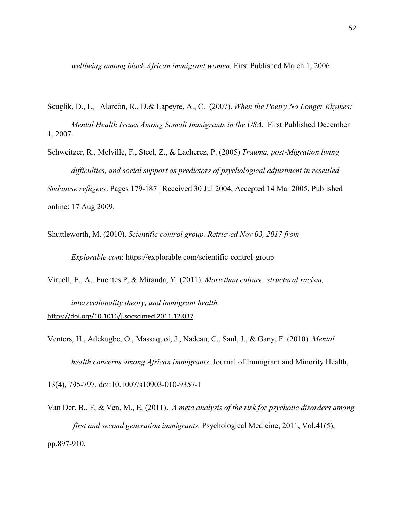*wellbeing among black African immigrant women.* First Published March 1, 2006

- Scuglik, D., L, [Alarcón,](http://journals.sagepub.com/author/Alarc%C3%B3n%2C+Renato+D) R., D.& [Lapeyre,](http://journals.sagepub.com/author/Lapeyre%2C+Andre+C+III) A., C. (2007). *When the Poetry No Longer Rhymes: Mental Health Issues Among Somali Immigrants in the USA.* First Published December 1, 2007.
- [Schweitzer,](http://www.tandfonline.com/author/Schweitzer%2C+Robert) R., [Melville,](http://www.tandfonline.com/author/Melville%2C+Fritha) F., [Steel,](http://www.tandfonline.com/author/Steel%2C+Zachary) Z., & [Lacherez,](http://www.tandfonline.com/author/Lacherez%2C+Philippe) P. (2005).*Trauma, post-Migration living difficulties, and social support as predictors of psychological adjustment in resettled Sudanese refugees*. Pages 179-187 | Received 30 Jul 2004, Accepted 14 Mar 2005, Published online: 17 Aug 2009.

Shuttleworth, M. (2010). *Scientific control group. Retrieved Nov 03, 2017 from* 

*Explorable.com*:<https://explorable.com/scientific-control-group>

[Viruell, E., A,. Fuentes P, & Miranda,](http://www.sciencedirect.com/science/article/pii/S0277953612000822%23!) Y. (2011). *More than culture: structural racism, intersectionality theory, and immigrant health.*

<https://doi.org/10.1016/j.socscimed.2011.12.037>

Venters, H., Adekugbe, O., Massaquoi, J., Nadeau, C., Saul, J., & Gany, F. (2010). *Mental health concerns among African immigrants*. Journal of Immigrant and Minority Health,

13(4), 795-797. doi:10.1007/s10903-010-9357-1

[Van Der, B., F, & Ven, M., E, \(](https://clicsearch.bethel.edu/primo-explore/search?query=creator%2Cexact%2C%20Van%20Der%20Ven%2C%20E%20%2CAND&tab=default_tab&search_scope=bethel&vid=BETHEL&mode=advanced&offset=0)2011). *A meta analysis of the risk for psychotic disorders among first and second generation immigrants.* Psychological Medicine, 2011, Vol.41(5), pp.897-910.